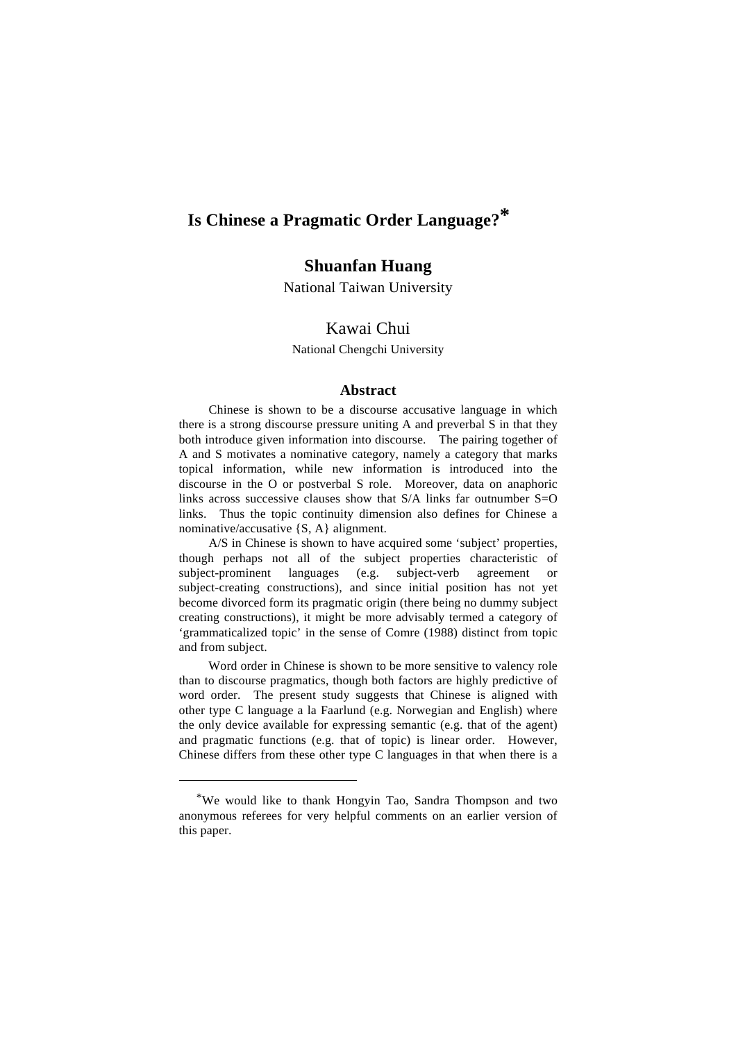# **Is Chinese a Pragmatic Order Language[?\\*](#page-0-0)**

# **Shuanfan Huang**

National Taiwan University

## Kawai Chui

#### National Chengchi University

#### **Abstract**

Chinese is shown to be a discourse accusative language in which there is a strong discourse pressure uniting A and preverbal S in that they both introduce given information into discourse. The pairing together of A and S motivates a nominative category, namely a category that marks topical information, while new information is introduced into the discourse in the O or postverbal S role. Moreover, data on anaphoric links across successive clauses show that  $S/A$  links far outnumber  $S=O$ links. Thus the topic continuity dimension also defines for Chinese a nominative/accusative {S, A} alignment.

A/S in Chinese is shown to have acquired some 'subject' properties, though perhaps not all of the subject properties characteristic of subject-prominent languages (e.g. subject-verb agreement or subject-creating constructions), and since initial position has not yet become divorced form its pragmatic origin (there being no dummy subject creating constructions), it might be more advisably termed a category of 'grammaticalized topic' in the sense of Comre (1988) distinct from topic and from subject.

Word order in Chinese is shown to be more sensitive to valency role than to discourse pragmatics, though both factors are highly predictive of word order. The present study suggests that Chinese is aligned with other type C language a la Faarlund (e.g. Norwegian and English) where the only device available for expressing semantic (e.g. that of the agent) and pragmatic functions (e.g. that of topic) is linear order. However, Chinese differs from these other type C languages in that when there is a

 $\overline{a}$ 

<span id="page-0-0"></span><sup>\*</sup>We would like to thank Hongyin Tao, Sandra Thompson and two anonymous referees for very helpful comments on an earlier version of this paper.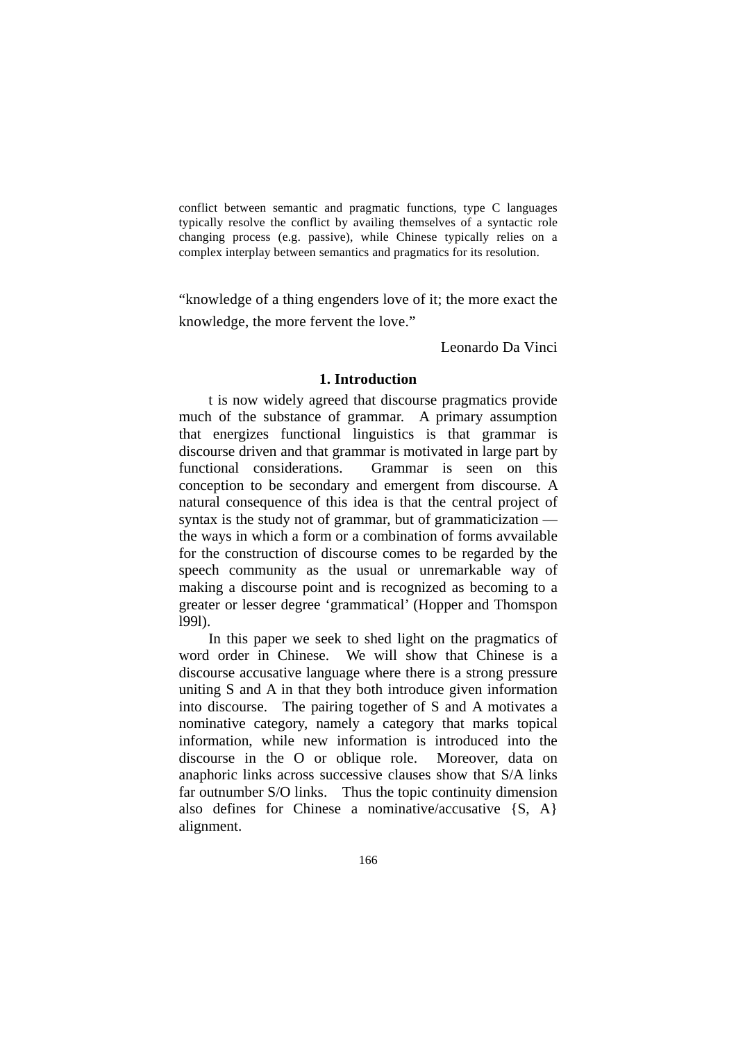conflict between semantic and pragmatic functions, type C languages typically resolve the conflict by availing themselves of a syntactic role changing process (e.g. passive), while Chinese typically relies on a complex interplay between semantics and pragmatics for its resolution.

"knowledge of a thing engenders love of it; the more exact the knowledge, the more fervent the love."

Leonardo Da Vinci

#### **1. Introduction**

t is now widely agreed that discourse pragmatics provide much of the substance of grammar. A primary assumption that energizes functional linguistics is that grammar is discourse driven and that grammar is motivated in large part by functional considerations. Grammar is seen on this conception to be secondary and emergent from discourse. A natural consequence of this idea is that the central project of syntax is the study not of grammar, but of grammaticization the ways in which a form or a combination of forms avvailable for the construction of discourse comes to be regarded by the speech community as the usual or unremarkable way of making a discourse point and is recognized as becoming to a greater or lesser degree 'grammatical' (Hopper and Thomspon l99l).

In this paper we seek to shed light on the pragmatics of word order in Chinese. We will show that Chinese is a discourse accusative language where there is a strong pressure uniting S and A in that they both introduce given information into discourse. The pairing together of S and A motivates a nominative category, namely a category that marks topical information, while new information is introduced into the discourse in the O or oblique role. Moreover, data on anaphoric links across successive clauses show that S/A links far outnumber S/O links. Thus the topic continuity dimension also defines for Chinese a nominative/accusative {S, A} alignment.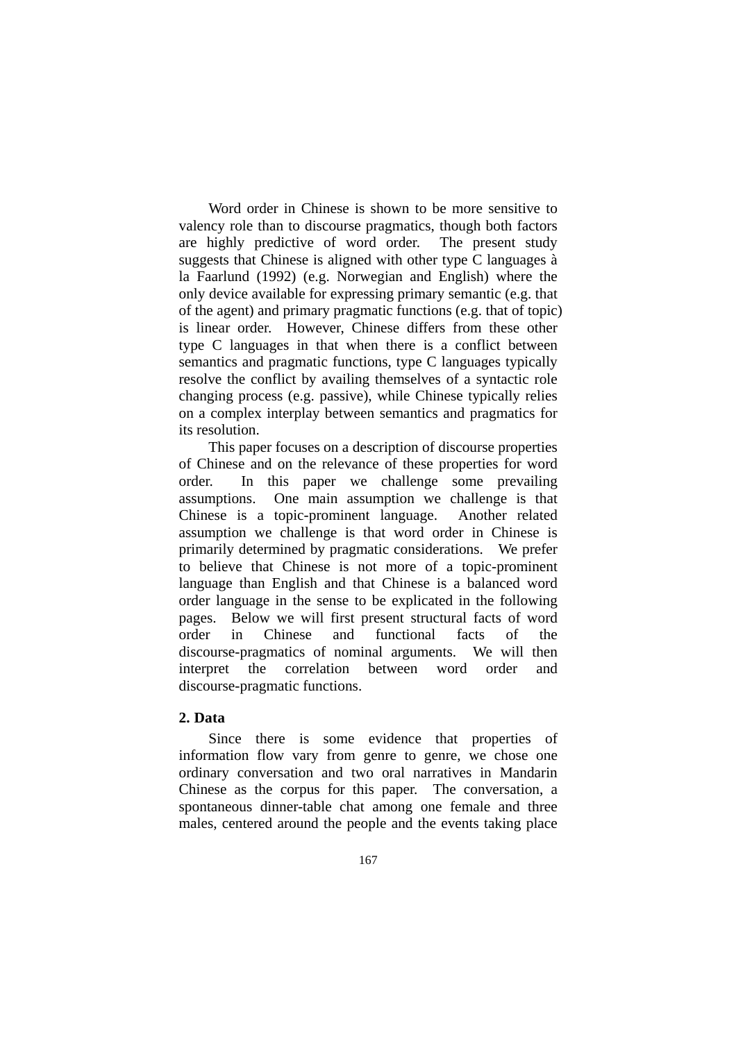Word order in Chinese is shown to be more sensitive to valency role than to discourse pragmatics, though both factors are highly predictive of word order. The present study suggests that Chinese is aligned with other type C languages à la Faarlund (1992) (e.g. Norwegian and English) where the only device available for expressing primary semantic (e.g. that of the agent) and primary pragmatic functions (e.g. that of topic) is linear order. However, Chinese differs from these other type C languages in that when there is a conflict between semantics and pragmatic functions, type C languages typically resolve the conflict by availing themselves of a syntactic role changing process (e.g. passive), while Chinese typically relies on a complex interplay between semantics and pragmatics for its resolution.

This paper focuses on a description of discourse properties of Chinese and on the relevance of these properties for word order. In this paper we challenge some prevailing assumptions. One main assumption we challenge is that Chinese is a topic-prominent language. Another related assumption we challenge is that word order in Chinese is primarily determined by pragmatic considerations. We prefer to believe that Chinese is not more of a topic-prominent language than English and that Chinese is a balanced word order language in the sense to be explicated in the following pages. Below we will first present structural facts of word order in Chinese and functional facts of the discourse-pragmatics of nominal arguments. We will then interpret the correlation between word order and discourse-pragmatic functions.

#### **2. Data**

Since there is some evidence that properties of information flow vary from genre to genre, we chose one ordinary conversation and two oral narratives in Mandarin Chinese as the corpus for this paper. The conversation, a spontaneous dinner-table chat among one female and three males, centered around the people and the events taking place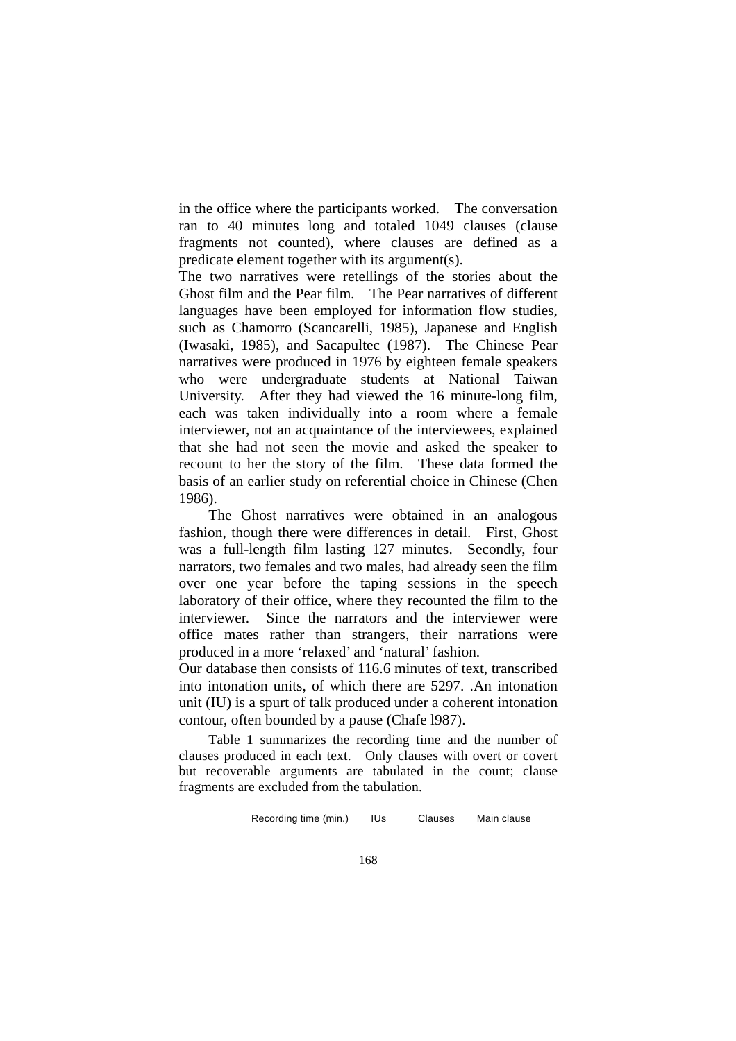in the office where the participants worked. The conversation ran to 40 minutes long and totaled 1049 clauses (clause fragments not counted), where clauses are defined as a predicate element together with its argument(s).

The two narratives were retellings of the stories about the Ghost film and the Pear film. The Pear narratives of different languages have been employed for information flow studies, such as Chamorro (Scancarelli, 1985), Japanese and English (Iwasaki, 1985), and Sacapultec (1987). The Chinese Pear narratives were produced in 1976 by eighteen female speakers who were undergraduate students at National Taiwan University. After they had viewed the 16 minute-long film, each was taken individually into a room where a female interviewer, not an acquaintance of the interviewees, explained that she had not seen the movie and asked the speaker to recount to her the story of the film. These data formed the basis of an earlier study on referential choice in Chinese (Chen 1986).

The Ghost narratives were obtained in an analogous fashion, though there were differences in detail. First, Ghost was a full-length film lasting 127 minutes. Secondly, four narrators, two females and two males, had already seen the film over one year before the taping sessions in the speech laboratory of their office, where they recounted the film to the interviewer. Since the narrators and the interviewer were office mates rather than strangers, their narrations were produced in a more 'relaxed' and 'natural' fashion.

Our database then consists of 116.6 minutes of text, transcribed into intonation units, of which there are 5297. .An intonation unit (IU) is a spurt of talk produced under a coherent intonation contour, often bounded by a pause (Chafe l987).

Table 1 summarizes the recording time and the number of clauses produced in each text. Only clauses with overt or covert but recoverable arguments are tabulated in the count; clause fragments are excluded from the tabulation.

Recording time (min.) IUs Clauses Main clause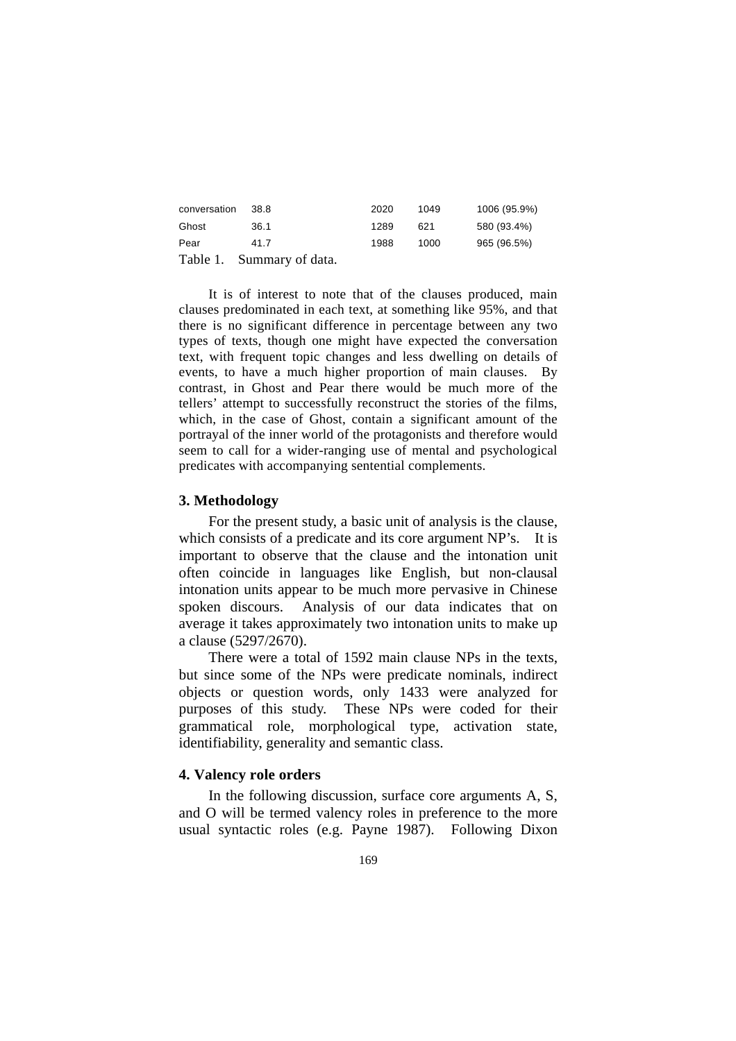| conversation | - 38.8                    | 2020 | 1049 | 1006 (95.9%) |
|--------------|---------------------------|------|------|--------------|
| Ghost        | 36.1                      | 1289 | 621  | 580 (93.4%)  |
| Pear         | 41.7                      | 1988 | 1000 | 965 (96.5%)  |
|              | Table 1. Summary of data. |      |      |              |

It is of interest to note that of the clauses produced, main clauses predominated in each text, at something like 95%, and that there is no significant difference in percentage between any two types of texts, though one might have expected the conversation text, with frequent topic changes and less dwelling on details of events, to have a much higher proportion of main clauses. By contrast, in Ghost and Pear there would be much more of the tellers' attempt to successfully reconstruct the stories of the films, which, in the case of Ghost, contain a significant amount of the portrayal of the inner world of the protagonists and therefore would seem to call for a wider-ranging use of mental and psychological predicates with accompanying sentential complements.

#### **3. Methodology**

For the present study, a basic unit of analysis is the clause, which consists of a predicate and its core argument NP's. It is important to observe that the clause and the intonation unit often coincide in languages like English, but non-clausal intonation units appear to be much more pervasive in Chinese spoken discours. Analysis of our data indicates that on average it takes approximately two intonation units to make up a clause (5297/2670).

There were a total of 1592 main clause NPs in the texts, but since some of the NPs were predicate nominals, indirect objects or question words, only 1433 were analyzed for purposes of this study. These NPs were coded for their grammatical role, morphological type, activation state, identifiability, generality and semantic class.

#### **4. Valency role orders**

In the following discussion, surface core arguments A, S, and O will be termed valency roles in preference to the more usual syntactic roles (e.g. Payne 1987). Following Dixon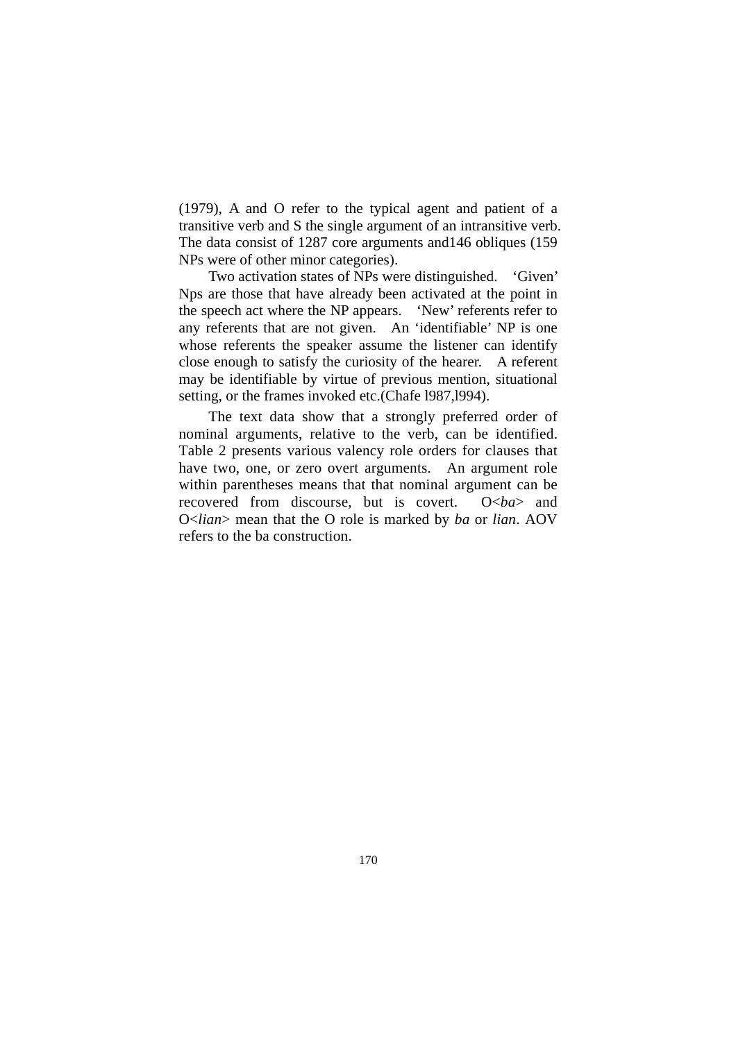(1979), A and O refer to the typical agent and patient of a transitive verb and S the single argument of an intransitive verb. The data consist of 1287 core arguments and146 obliques (159 NPs were of other minor categories).

Two activation states of NPs were distinguished. 'Given' Nps are those that have already been activated at the point in the speech act where the NP appears. 'New' referents refer to any referents that are not given. An 'identifiable' NP is one whose referents the speaker assume the listener can identify close enough to satisfy the curiosity of the hearer. A referent may be identifiable by virtue of previous mention, situational setting, or the frames invoked etc.(Chafe l987,l994).

The text data show that a strongly preferred order of nominal arguments, relative to the verb, can be identified. Table 2 presents various valency role orders for clauses that have two, one, or zero overt arguments. An argument role within parentheses means that that nominal argument can be recovered from discourse, but is covert. O<*ba*> and O<*lian*> mean that the O role is marked by *ba* or *lian*. AOV refers to the ba construction.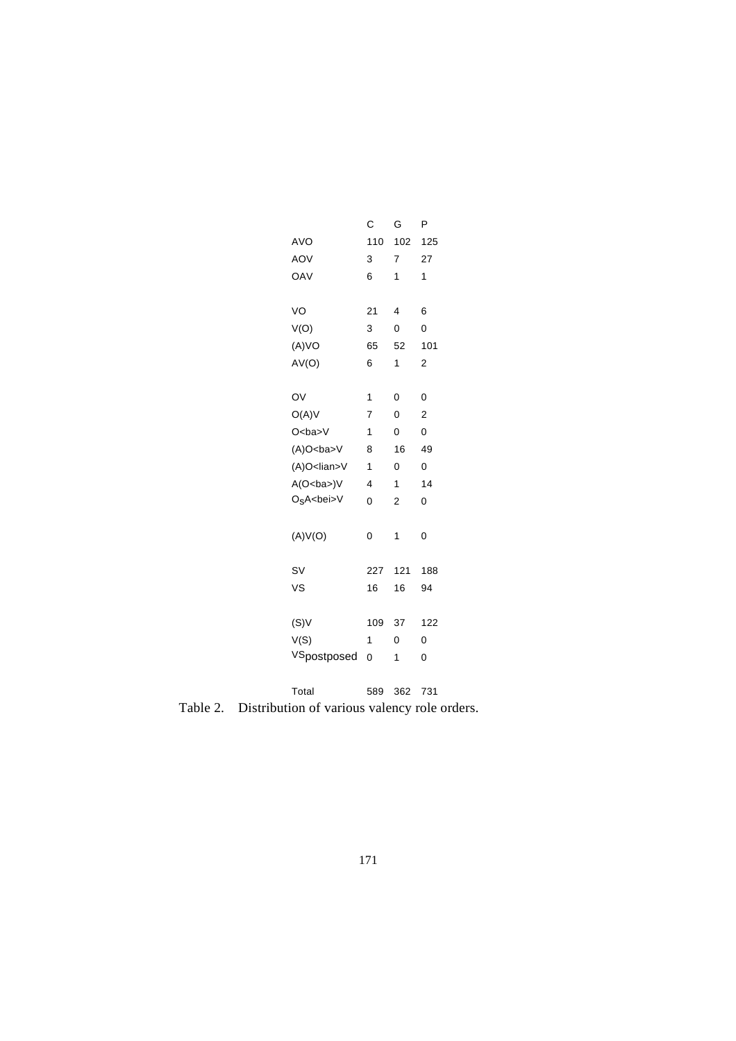|                               | С                       | G              | P   |
|-------------------------------|-------------------------|----------------|-----|
| <b>AVO</b>                    | 110                     | 102            | 125 |
| <b>AOV</b>                    | 3                       | 7              | 27  |
| OAV                           | 6                       | 1              | 1   |
|                               |                         |                |     |
| VO                            | 21                      | 4              | 6   |
| V(O)                          | 3                       | 0              | 0   |
| (A)VO                         | 65                      | 52             | 101 |
| AV(O)                         | 6                       | 1              | 2   |
|                               |                         |                |     |
| OV                            | 1                       | $\overline{0}$ | 0   |
| O(A)V                         | 7                       | $\Omega$       | 2   |
| $O$<br>ba> $V$                | 1                       | 0              | 0   |
| $(A)O$<br>ba>V                | 8                       | 16             | 49  |
| $(A)$ O <lian>V</lian>        | $\overline{\mathbf{1}}$ | $\Omega$       | 0   |
| A(O <ba>)V</ba>               | 4                       | 1              | 14  |
| O <sub>S</sub> A <bei>V</bei> | 0                       | $\overline{2}$ | 0   |
|                               |                         |                |     |
| (A)V(O)                       | 0                       | 1              | 0   |
|                               |                         |                |     |
| S٧                            | 227                     | 121            | 188 |
| VS                            | 16                      | 16             | 94  |
|                               |                         |                |     |
| (S)V                          | 109                     | 37             | 122 |
| V(S)                          | 1                       | 0              | 0   |
| VSpostposed                   | 0                       | 1              | 0   |
|                               |                         |                |     |
| Total                         | 589                     | 362            | 731 |

Table 2. Distribution of various valency role orders.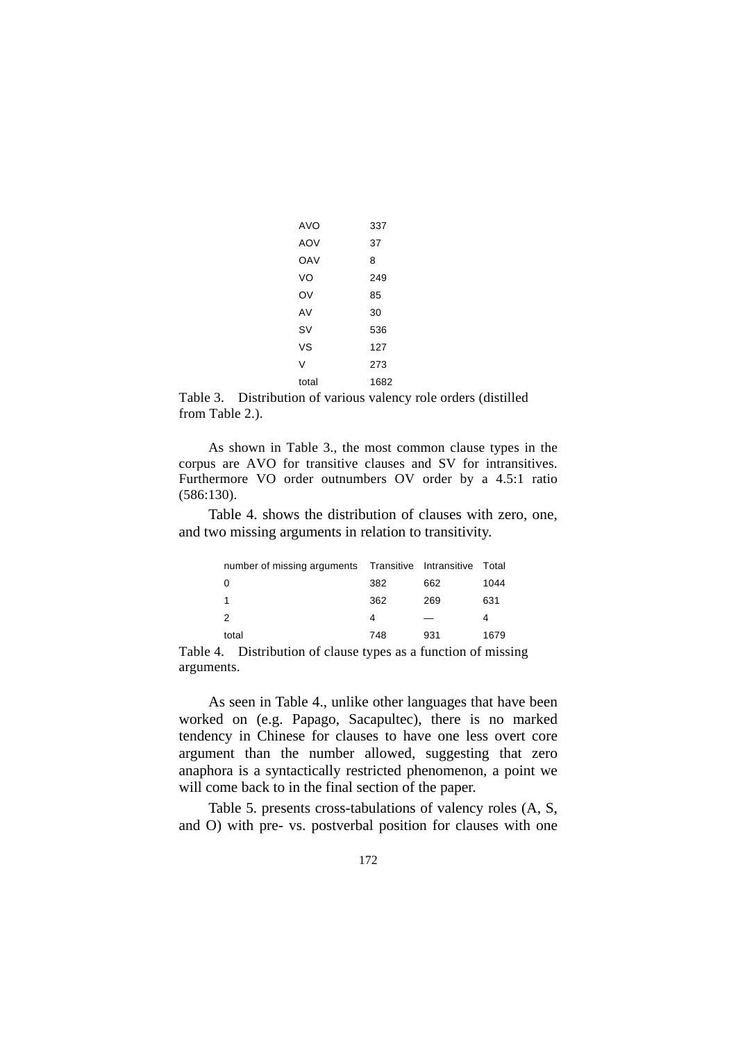| AVO   | 337  |
|-------|------|
| AOV   | 37   |
| OAV   | 8    |
| VO    | 249  |
| OV    | 85   |
| AV    | 30   |
| SV    | 536  |
| VS    | 127  |
| V     | 273  |
| total | 1682 |

Table 3. Distribution of various valency role orders (distilled from Table 2.).

As shown in Table 3., the most common clause types in the corpus are AVO for transitive clauses and SV for intransitives. Furthermore VO order outnumbers OV order by a 4.5:1 ratio (586:130).

Table 4. shows the distribution of clauses with zero, one, and two missing arguments in relation to transitivity.

| number of missing arguments Transitive Intransitive |     |     | Total |
|-----------------------------------------------------|-----|-----|-------|
| 0                                                   | 382 | 662 | 1044  |
|                                                     | 362 | 269 | 631   |
| 2                                                   | 4   | _   |       |
| total                                               | 748 | 931 | 1679  |

Table 4. Distribution of clause types as a function of missing arguments.

As seen in Table 4., unlike other languages that have been worked on (e.g. Papago, Sacapultec), there is no marked tendency in Chinese for clauses to have one less overt core argument than the number allowed, suggesting that zero anaphora is a syntactically restricted phenomenon, a point we will come back to in the final section of the paper.

Table 5. presents cross-tabulations of valency roles (A, S, and O) with pre- vs. postverbal position for clauses with one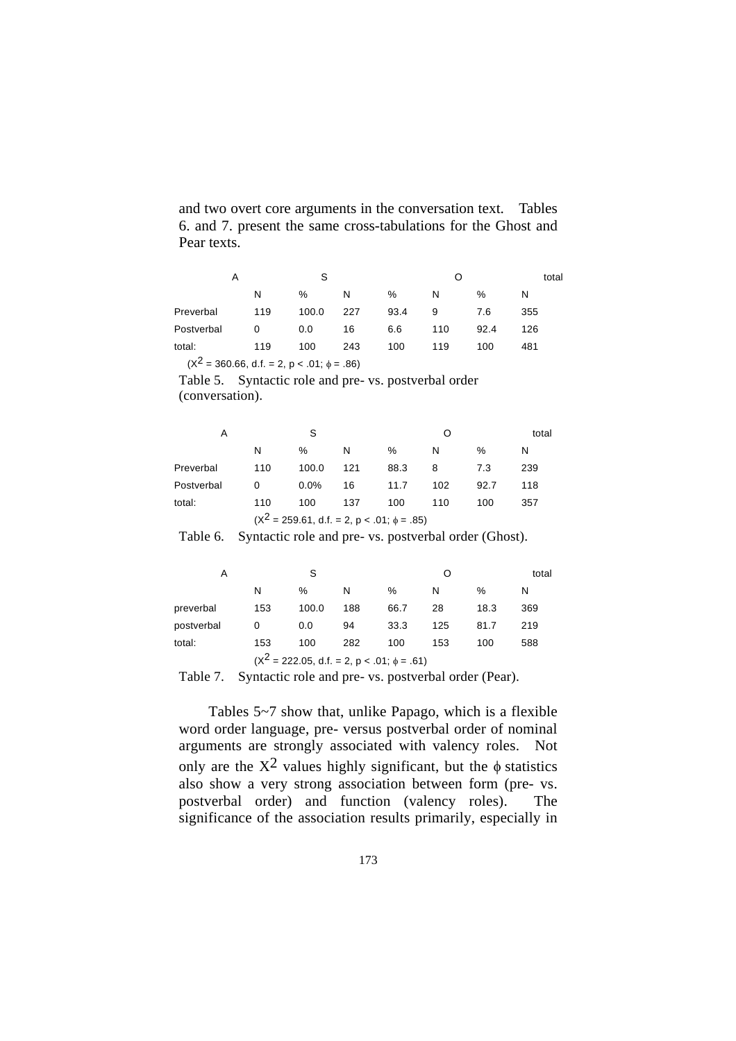and two overt core arguments in the conversation text. Tables 6. and 7. present the same cross-tabulations for the Ghost and Pear texts.

|                                                 | Α |     | S |       |  |     |  |      |  | total |  |      |     |  |
|-------------------------------------------------|---|-----|---|-------|--|-----|--|------|--|-------|--|------|-----|--|
|                                                 |   | N   |   | $\%$  |  | N   |  | $\%$ |  | N     |  | $\%$ | N   |  |
| Preverbal                                       |   | 119 |   | 100.0 |  | 227 |  | 93.4 |  | 9     |  | 7.6  | 355 |  |
| Postverbal                                      |   | 0   |   | 0.0   |  | 16  |  | 6.6  |  | 110   |  | 92.4 | 126 |  |
| total:                                          |   | 119 |   | 100   |  | 243 |  | 100  |  | 119   |  | 100  | 481 |  |
| $(X^2 = 360.66, d.f. = 2, p < .01; \phi = .86)$ |   |     |   |       |  |     |  |      |  |       |  |      |     |  |

|                 | Table 5. Syntactic role and pre- vs. postverbal order |
|-----------------|-------------------------------------------------------|
| (conversation). |                                                       |

| Α          |     | S       |                                                 |      |     | total |     |
|------------|-----|---------|-------------------------------------------------|------|-----|-------|-----|
|            | N   | $\%$    | N                                               | $\%$ | N   | $\%$  | N   |
| Preverbal  | 110 | 100.0   | 121                                             | 88.3 | 8   | 7.3   | 239 |
| Postverbal | 0   | $0.0\%$ | 16                                              | 11.7 | 102 | 92.7  | 118 |
| total:     | 110 | 100     | 137                                             | 100  | 110 | 100   | 357 |
|            |     |         | $(X^2 = 259.61, d.f. = 2, p < .01; \phi = .85)$ |      |     |       |     |

Table 6. Syntactic role and pre- vs. postverbal order (Ghost).

| Α          |     | S                                               |     |      | Ő   |      | total |
|------------|-----|-------------------------------------------------|-----|------|-----|------|-------|
|            | N   | %                                               | N   | %    | N   | %    | N     |
| preverbal  | 153 | 100.0                                           | 188 | 66.7 | 28  | 18.3 | 369   |
| postverbal | 0   | 0.0                                             | 94  | 33.3 | 125 | 81.7 | 219   |
| total:     | 153 | 100                                             | 282 | 100  | 153 | 100  | 588   |
|            |     | $(X^2 = 222.05, d.f. = 2, p < .01; \phi = .61)$ |     |      |     |      |       |

Table 7. Syntactic role and pre- vs. postverbal order (Pear).

Tables 5~7 show that, unlike Papago, which is a flexible word order language, pre- versus postverbal order of nominal arguments are strongly associated with valency roles. Not only are the  $X^2$  values highly significant, but the  $\phi$  statistics also show a very strong association between form (pre- vs. postverbal order) and function (valency roles). The significance of the association results primarily, especially in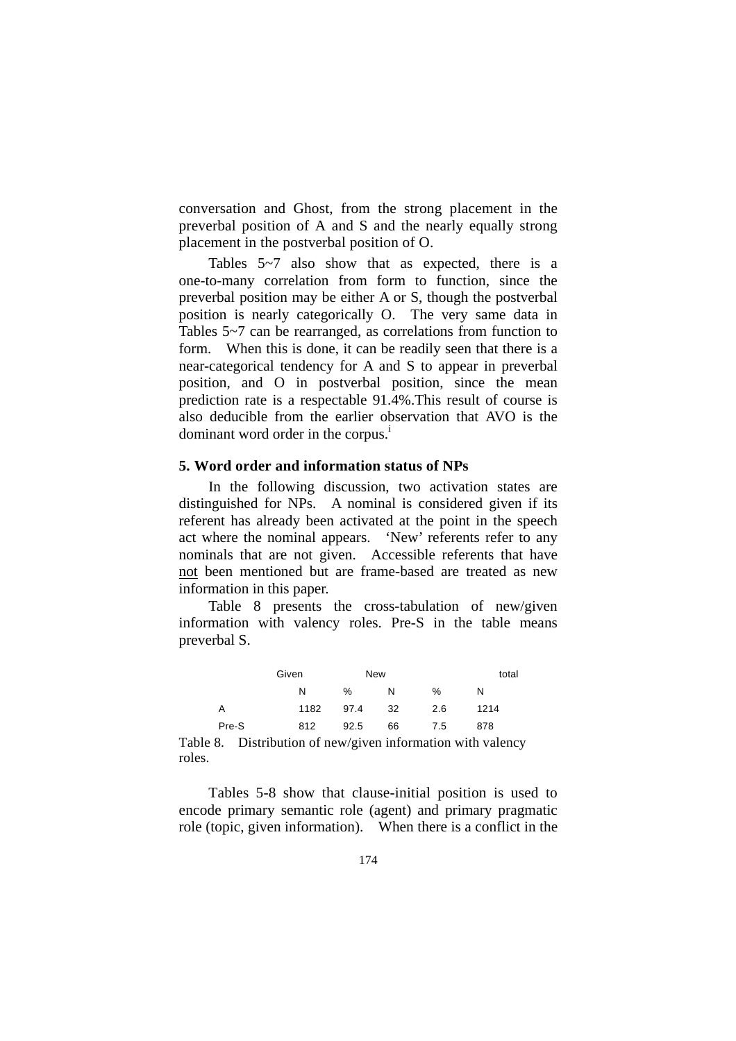conversation and Ghost, from the strong placement in the preverbal position of A and S and the nearly equally strong placement in the postverbal position of O.

Tables 5~7 also show that as expected, there is a one-to-many correlation from form to function, since the preverbal position may be either A or S, though the postverbal position is nearly categorically O. The very same data in Tables 5~7 can be rearranged, as correlations from function to form. When this is done, it can be readily seen that there is a near-categorical tendency for A and S to appear in preverbal position, and O in postverbal position, since the mean prediction rate is a respectable 91.4%.This result of course is also deducible from the earlier observation that AVO is the dom[i](#page-31-0)nant word order in the corpus.<sup>1</sup>

## **5. Word order and information status of NPs**

In the following discussion, two activation states are distinguished for NPs. A nominal is considered given if its referent has already been activated at the point in the speech act where the nominal appears. 'New' referents refer to any nominals that are not given. Accessible referents that have not been mentioned but are frame-based are treated as new information in this paper.

Table 8 presents the cross-tabulation of new/given information with valency roles. Pre-S in the table means preverbal S.

|       | Given |      | <b>New</b> |     | total |  |  |
|-------|-------|------|------------|-----|-------|--|--|
|       | N     | $\%$ | N          | %   | N     |  |  |
| Α     | 1182  | 97.4 | -32        | 2.6 | 1214  |  |  |
| Pre-S | 812   | 92.5 | 66         | 7.5 | 878   |  |  |

Table 8. Distribution of new/given information with valency roles.

Tables 5-8 show that clause-initial position is used to encode primary semantic role (agent) and primary pragmatic role (topic, given information). When there is a conflict in the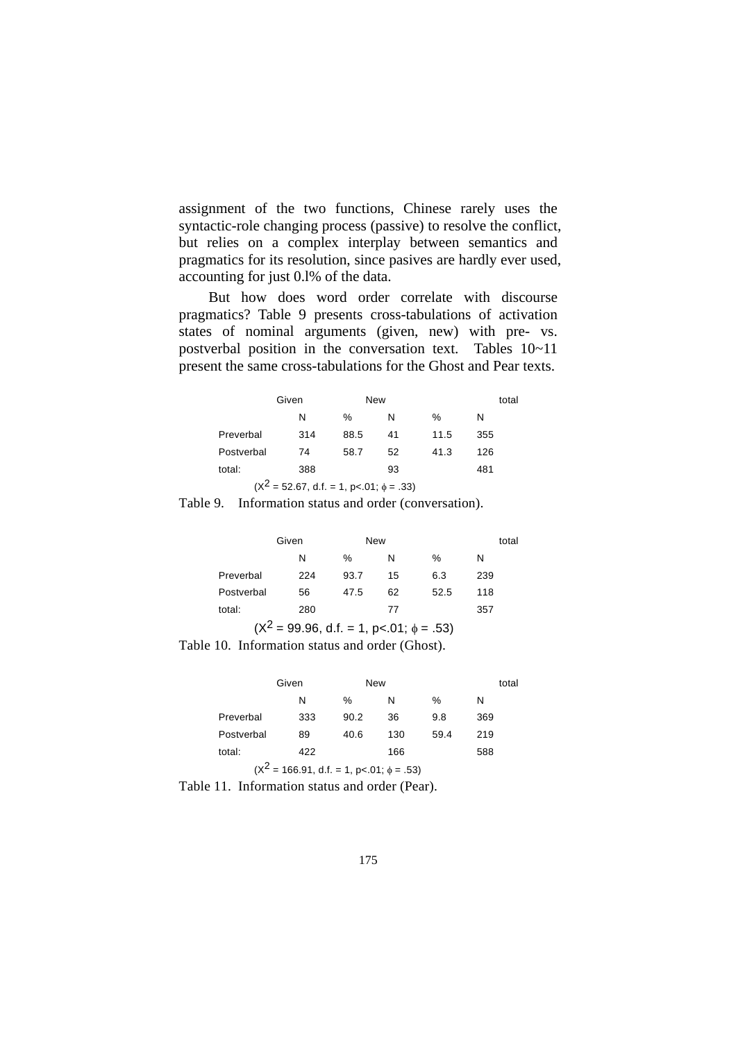assignment of the two functions, Chinese rarely uses the syntactic-role changing process (passive) to resolve the conflict, but relies on a complex interplay between semantics and pragmatics for its resolution, since pasives are hardly ever used, accounting for just 0.l% of the data.

But how does word order correlate with discourse pragmatics? Table 9 presents cross-tabulations of activation states of nominal arguments (given, new) with pre- vs. postverbal position in the conversation text. Tables 10~11 present the same cross-tabulations for the Ghost and Pear texts.

|                          | Given |      | <b>New</b> |      |     | total |
|--------------------------|-------|------|------------|------|-----|-------|
|                          | N     | %    | N          | %    | N   |       |
| Preverbal                | 314   | 88.5 | 41         | 11.5 | 355 |       |
| Postverbal               | 74    | 58.7 | 52         | 41.3 | 126 |       |
| total:                   | 388   |      | 93         |      | 481 |       |
| $\overline{\phantom{0}}$ |       |      |            |      |     |       |

 $(X^2 = 52.67, d.f. = 1, p < 01; \phi = .33)$ 

Table 9. Information status and order (conversation).

|                          | Given |      | New |      |     | total |
|--------------------------|-------|------|-----|------|-----|-------|
|                          | N     | $\%$ | N   | %    | N   |       |
| Preverbal                | 224   | 93.7 | 15  | 6.3  | 239 |       |
| Postverbal               | 56    | 47.5 | 62  | 52.5 | 118 |       |
| total:                   | 280   |      | 77  |      | 357 |       |
| $\overline{\phantom{a}}$ |       |      |     |      |     |       |

 $(X^2 = 99.96, d.f. = 1, p < .01; \phi = .53)$ 

Table 10. Information status and order (Ghost).

|            | Given      | New                         |         |      | total |
|------------|------------|-----------------------------|---------|------|-------|
|            | N          | %                           | N       | $\%$ | N     |
| Preverbal  | 333        | 90.2                        | 36      | 9.8  | 369   |
| Postverbal | 89         | 40.6                        | 130     | 59.4 | 219   |
| total:     | 422        |                             | 166     |      | 588   |
| $\sim$ 2   | $\sqrt{2}$ | $\sim$ $\sim$ $\sim$ $\sim$ | $-\sim$ |      |       |

 $(X^2 = 166.91, d.f. = 1, p < 01; \phi = .53)$ 

Table 11. Information status and order (Pear).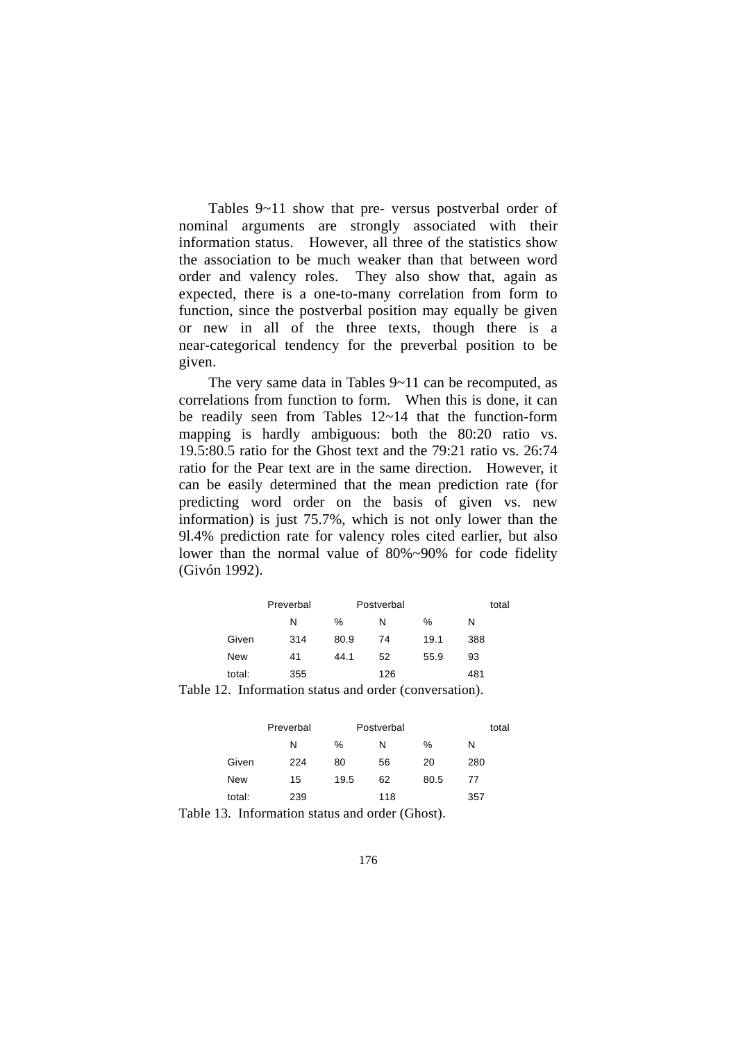Tables 9~11 show that pre- versus postverbal order of nominal arguments are strongly associated with their information status. However, all three of the statistics show the association to be much weaker than that between word order and valency roles. They also show that, again as expected, there is a one-to-many correlation from form to function, since the postverbal position may equally be given or new in all of the three texts, though there is a near-categorical tendency for the preverbal position to be given.

The very same data in Tables 9~11 can be recomputed, as correlations from function to form. When this is done, it can be readily seen from Tables 12~14 that the function-form mapping is hardly ambiguous: both the 80:20 ratio vs. 19.5:80.5 ratio for the Ghost text and the 79:21 ratio vs. 26:74 ratio for the Pear text are in the same direction. However, it can be easily determined that the mean prediction rate (for predicting word order on the basis of given vs. new information) is just 75.7%, which is not only lower than the 9l.4% prediction rate for valency roles cited earlier, but also lower than the normal value of 80%~90% for code fidelity (Givón 1992).

|                                                     | Preverbal |      | Postverbal |      |     | total |
|-----------------------------------------------------|-----------|------|------------|------|-----|-------|
|                                                     | N         | %    | N          | %    | N   |       |
| Given                                               | 314       | 80.9 | 74         | 19.1 | 388 |       |
| New                                                 | 41        | 44.1 | 52         | 55.9 | 93  |       |
| total:                                              | 355       |      | 126        |      | 481 |       |
| dela 12 Information status and order (conversation) |           |      |            |      |     |       |

Table 12. Information status and order (conversation).

|        | Preverbal |      | Postverbal |      | total |  |
|--------|-----------|------|------------|------|-------|--|
|        | N         | %    | N          | %    | N     |  |
| Given  | 224       | 80   | 56         | 20   | 280   |  |
| New    | 15        | 19.5 | 62         | 80.5 | 77    |  |
| total: | 239       |      | 118        |      | 357   |  |

Table 13. Information status and order (Ghost).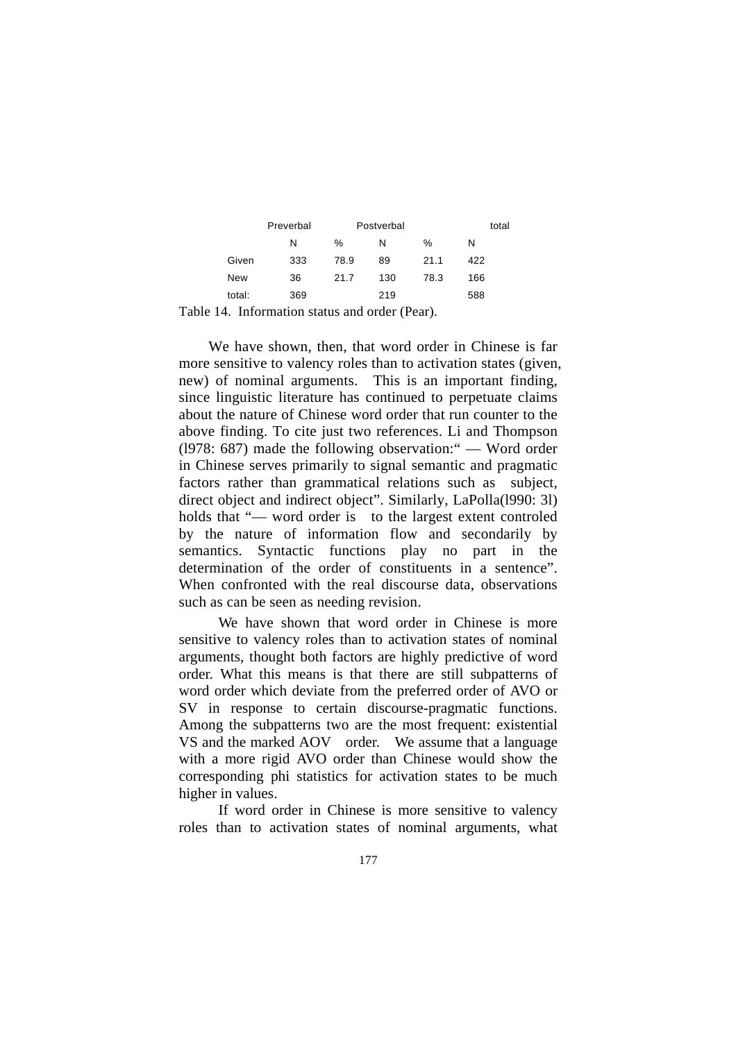|        | Preverbal |      | Postverbal |      |     | total |
|--------|-----------|------|------------|------|-----|-------|
|        | N         | %    | N          | %    | N   |       |
| Given  | 333       | 78.9 | 89         | 21.1 | 422 |       |
| New    | 36        | 21.7 | 130        | 78.3 | 166 |       |
| total: | 369       |      | 219        |      | 588 |       |

Table 14. Information status and order (Pear).

We have shown, then, that word order in Chinese is far more sensitive to valency roles than to activation states (given, new) of nominal arguments. This is an important finding, since linguistic literature has continued to perpetuate claims about the nature of Chinese word order that run counter to the above finding. To cite just two references. Li and Thompson (l978: 687) made the following observation:" — Word order in Chinese serves primarily to signal semantic and pragmatic factors rather than grammatical relations such as subject, direct object and indirect object". Similarly, LaPolla(l990: 3l) holds that "— word order is to the largest extent controled by the nature of information flow and secondarily by semantics. Syntactic functions play no part in the determination of the order of constituents in a sentence". When confronted with the real discourse data, observations such as can be seen as needing revision.

We have shown that word order in Chinese is more sensitive to valency roles than to activation states of nominal arguments, thought both factors are highly predictive of word order. What this means is that there are still subpatterns of word order which deviate from the preferred order of AVO or SV in response to certain discourse-pragmatic functions. Among the subpatterns two are the most frequent: existential VS and the marked AOV order. We assume that a language with a more rigid AVO order than Chinese would show the corresponding phi statistics for activation states to be much higher in values.

If word order in Chinese is more sensitive to valency roles than to activation states of nominal arguments, what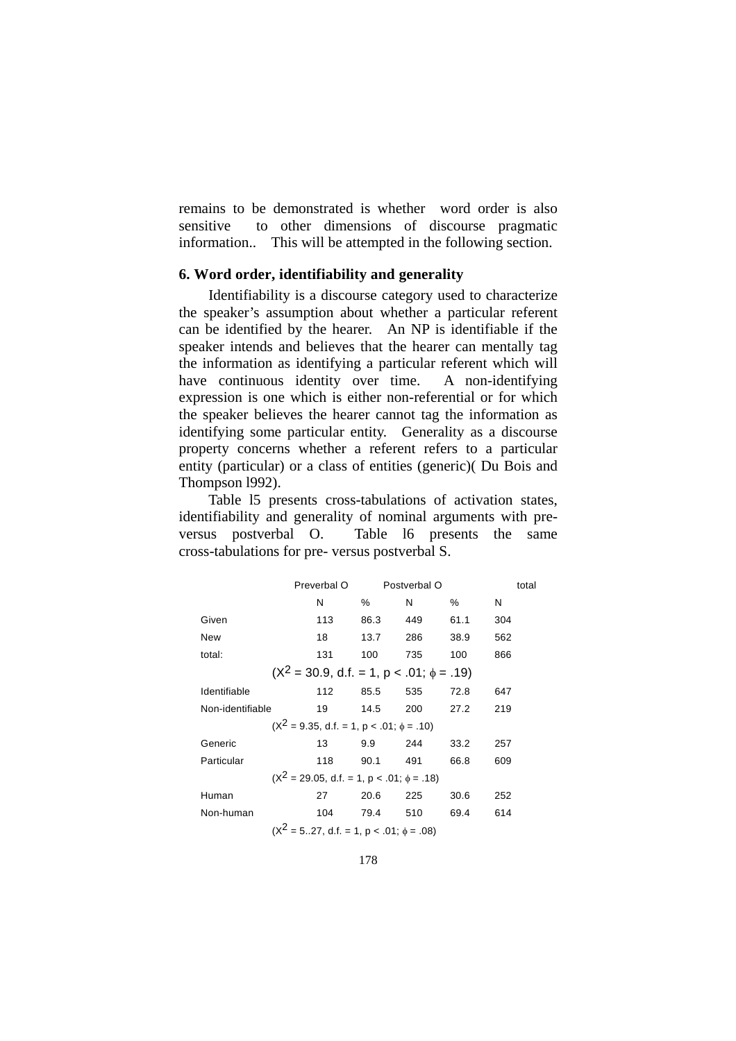remains to be demonstrated is whether word order is also sensitive to other dimensions of discourse pragmatic information.. This will be attempted in the following section.

#### **6. Word order, identifiability and generality**

Identifiability is a discourse category used to characterize the speaker's assumption about whether a particular referent can be identified by the hearer. An NP is identifiable if the speaker intends and believes that the hearer can mentally tag the information as identifying a particular referent which will have continuous identity over time. A non-identifying expression is one which is either non-referential or for which the speaker believes the hearer cannot tag the information as identifying some particular entity. Generality as a discourse property concerns whether a referent refers to a particular entity (particular) or a class of entities (generic)( Du Bois and Thompson l992).

Table l5 presents cross-tabulations of activation states, identifiability and generality of nominal arguments with preversus postverbal O. Table l6 presents the same cross-tabulations for pre- versus postverbal S.

|                  | Preverbal O                                    |      | Postverbal O |      | total |
|------------------|------------------------------------------------|------|--------------|------|-------|
|                  | N                                              | %    | N            | %    | N     |
| Given            | 113                                            | 86.3 | 449          | 61.1 | 304   |
| <b>New</b>       | 18                                             | 13.7 | 286          | 38.9 | 562   |
| total:           | 131                                            | 100  | 735          | 100  | 866   |
|                  | $(X^2 = 30.9, d.f. = 1, p < .01; \phi = .19)$  |      |              |      |       |
| Identifiable     | 112                                            | 85.5 | 535          | 72.8 | 647   |
| Non-identifiable | 19                                             | 14.5 | 200          | 27.2 | 219   |
|                  | $(X^2 = 9.35, d.f. = 1, p < .01; \phi = .10)$  |      |              |      |       |
| Generic          | 13                                             | 9.9  | 244          | 33.2 | 257   |
| Particular       | 118 90.1 491                                   |      |              | 66.8 | 609   |
|                  | $(X^2 = 29.05, d.f. = 1, p < .01; \phi = .18)$ |      |              |      |       |
| Human            | 27                                             | 20.6 | 225          | 30.6 | 252   |
| Non-human        | 104                                            | 79.4 | 510          | 69.4 | 614   |
|                  | $(X^2 = 527, d.f. = 1, p < .01; \phi = .08)$   |      |              |      |       |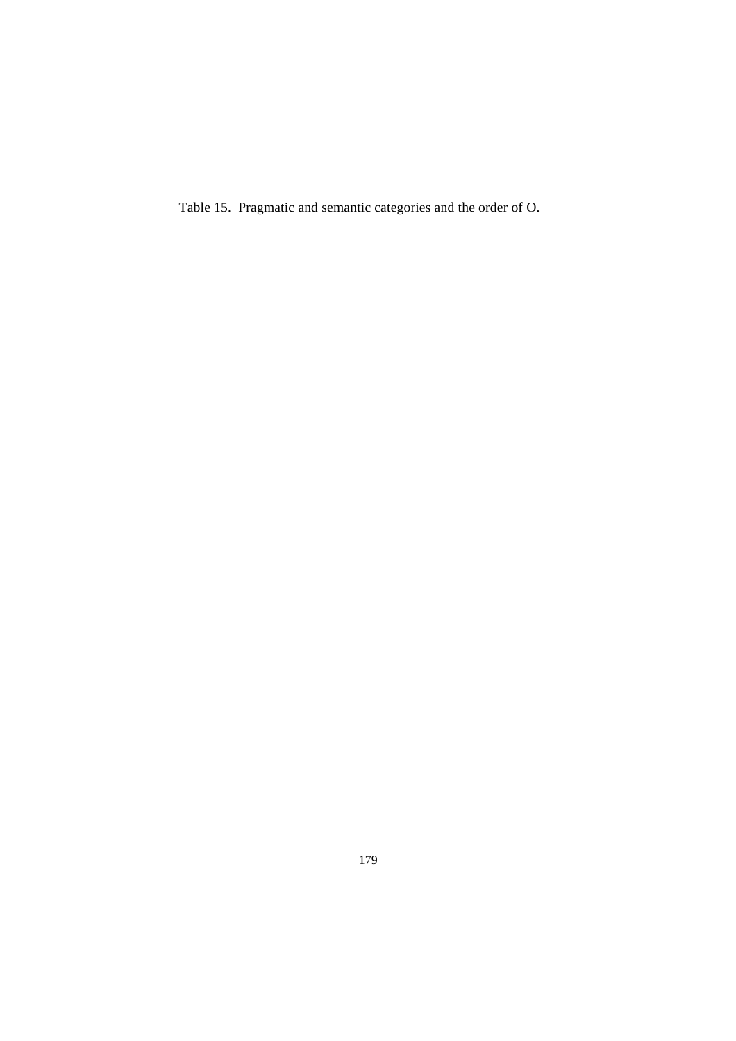Table 15. Pragmatic and semantic categories and the order of O.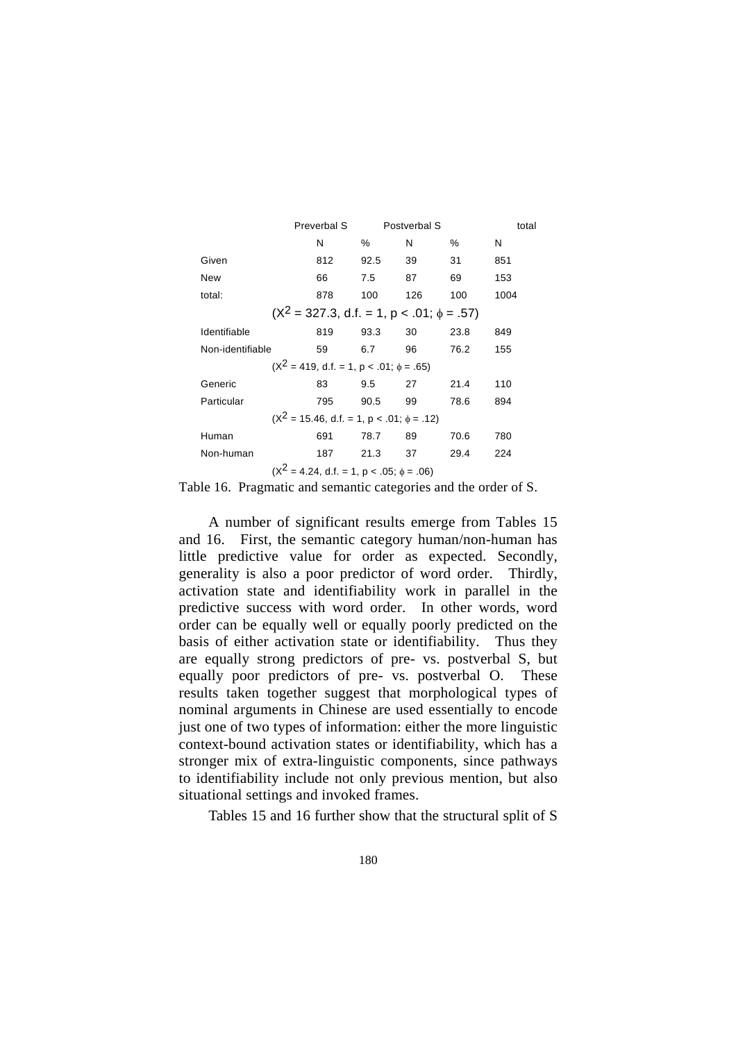|                  | Preverbal S Postverbal S                       |      |     |      | total |  |
|------------------|------------------------------------------------|------|-----|------|-------|--|
|                  | N                                              | %    | N   | %    | Ν     |  |
| Given            | 812                                            | 92.5 | 39  | 31   | 851   |  |
| <b>New</b>       | 66                                             | 7.5  | 87  | 69   | 153   |  |
| total:           | 878                                            | 100  | 126 | 100  | 1004  |  |
|                  | $(X^2 = 327.3, d.f. = 1, p < .01; \phi = .57)$ |      |     |      |       |  |
| Identifiable     | 819                                            | 93.3 | 30  | 23.8 | 849   |  |
| Non-identifiable | 59                                             | 6.7  | 96  | 76.2 | 155   |  |
|                  | $(X^2 = 419, d.f. = 1, p < .01; \phi = .65)$   |      |     |      |       |  |
| Generic          | 83                                             | 9.5  | 27  | 21.4 | 110   |  |
| Particular       | 795                                            | 90.5 | 99  | 78.6 | 894   |  |
|                  | $(X^2 = 15.46, d.f. = 1, p < .01; \phi = .12)$ |      |     |      |       |  |
| Human            | 691                                            | 78.7 | 89  | 70.6 | 780   |  |
| Non-human        | 187                                            | 21.3 | 37  | 29.4 | 224   |  |
|                  | $(X^2 = 4.24, d.f. = 1, p < .05; \phi = .06)$  |      |     |      |       |  |

Table 16. Pragmatic and semantic categories and the order of S.

A number of significant results emerge from Tables 15 and 16. First, the semantic category human/non-human has little predictive value for order as expected. Secondly, generality is also a poor predictor of word order. Thirdly, activation state and identifiability work in parallel in the predictive success with word order. In other words, word order can be equally well or equally poorly predicted on the basis of either activation state or identifiability. Thus they are equally strong predictors of pre- vs. postverbal S, but equally poor predictors of pre- vs. postverbal O. These results taken together suggest that morphological types of nominal arguments in Chinese are used essentially to encode just one of two types of information: either the more linguistic context-bound activation states or identifiability, which has a stronger mix of extra-linguistic components, since pathways to identifiability include not only previous mention, but also situational settings and invoked frames.

Tables 15 and 16 further show that the structural split of S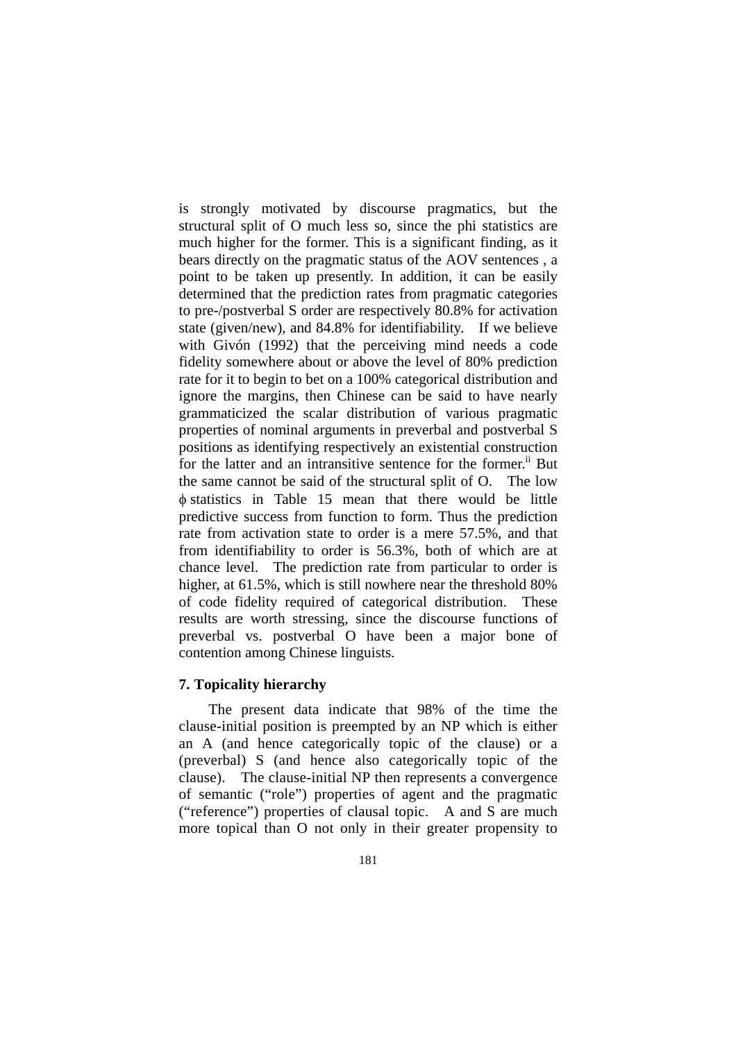is strongly motivated by discourse pragmatics, but the structural split of O much less so, since the phi statistics are much higher for the former. This is a significant finding, as it bears directly on the pragmatic status of the AOV sentences , a point to be taken up presently. In addition, it can be easily determined that the prediction rates from pragmatic categories to pre-/postverbal S order are respectively 80.8% for activation state (given/new), and 84.8% for identifiability. If we believe with Givón (1992) that the perceiving mind needs a code fidelity somewhere about or above the level of 80% prediction rate for it to begin to bet on a 100% categorical distribution and ignore the margins, then Chinese can be said to have nearly grammaticized the scalar distribution of various pragmatic properties of nominal arguments in preverbal and postverbal S positions as identifying respectively an existential construction for the latter and an intransitive sentence for the former.<sup>[ii](#page-31-1)</sup> But the same cannot be said of the structural split of O. The low φ statistics in Table 15 mean that there would be little predictive success from function to form. Thus the prediction rate from activation state to order is a mere 57.5%, and that from identifiability to order is 56.3%, both of which are at chance level. The prediction rate from particular to order is higher, at 61.5%, which is still nowhere near the threshold 80% of code fidelity required of categorical distribution. These results are worth stressing, since the discourse functions of preverbal vs. postverbal O have been a major bone of contention among Chinese linguists.

## **7. Topicality hierarchy**

The present data indicate that 98% of the time the clause-initial position is preempted by an NP which is either an A (and hence categorically topic of the clause) or a (preverbal) S (and hence also categorically topic of the clause). The clause-initial NP then represents a convergence of semantic ("role") properties of agent and the pragmatic ("reference") properties of clausal topic. A and S are much more topical than O not only in their greater propensity to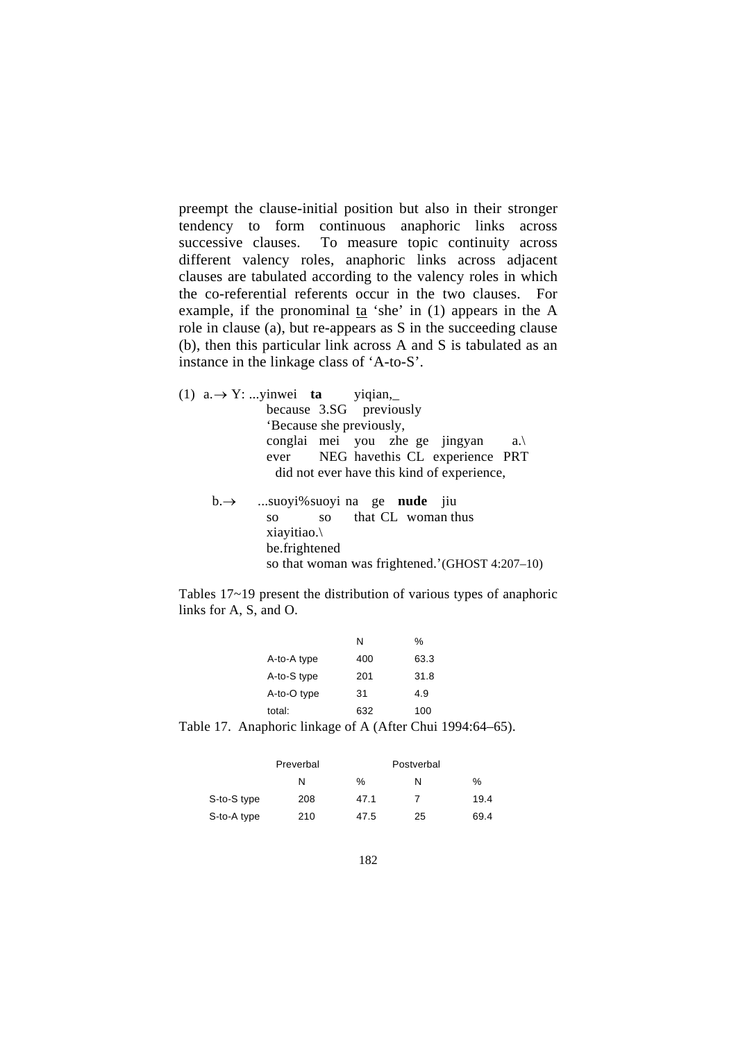preempt the clause-initial position but also in their stronger tendency to form continuous anaphoric links across successive clauses. To measure topic continuity across different valency roles, anaphoric links across adjacent clauses are tabulated according to the valency roles in which the co-referential referents occur in the two clauses. For example, if the pronominal  $ta 'she' in (1) appears in the A$ </u> role in clause (a), but re-appears as S in the succeeding clause (b), then this particular link across A and S is tabulated as an instance in the linkage class of 'A-to-S'.

| (1) $a \rightarrow Y$ : yinwei <b>ta</b> yiqian, |                          |  |  |                                            |                |
|--------------------------------------------------|--------------------------|--|--|--------------------------------------------|----------------|
|                                                  | because 3.SG previously  |  |  |                                            |                |
|                                                  | 'Because she previously, |  |  |                                            |                |
|                                                  |                          |  |  | conglai mei you zhe ge jingyan             | $a. \setminus$ |
|                                                  |                          |  |  | ever NEG have this CL experience PRT       |                |
|                                                  |                          |  |  | did not ever have this kind of experience, |                |
|                                                  |                          |  |  |                                            |                |

 b.→ ...suoyi%suoyi na ge **nude** jiu so so that CL woman thus xiayitiao.\ be.frightened so that woman was frightened.'(GHOST 4:207–10)

Tables 17~19 present the distribution of various types of anaphoric links for A, S, and O.

| N   | ℅    |
|-----|------|
| 400 | 63.3 |
| 201 | 31.8 |
| 31  | 4.9  |
| 632 | 100  |
|     |      |

Table 17. Anaphoric linkage of A (After Chui 1994:64–65).

|             | Preverbal |      | Postverbal |      |  |
|-------------|-----------|------|------------|------|--|
|             | N         | ℅    | N          | ℅    |  |
| S-to-S type | 208       | 47.1 |            | 19.4 |  |
| S-to-A type | 210       | 47.5 | 25         | 69.4 |  |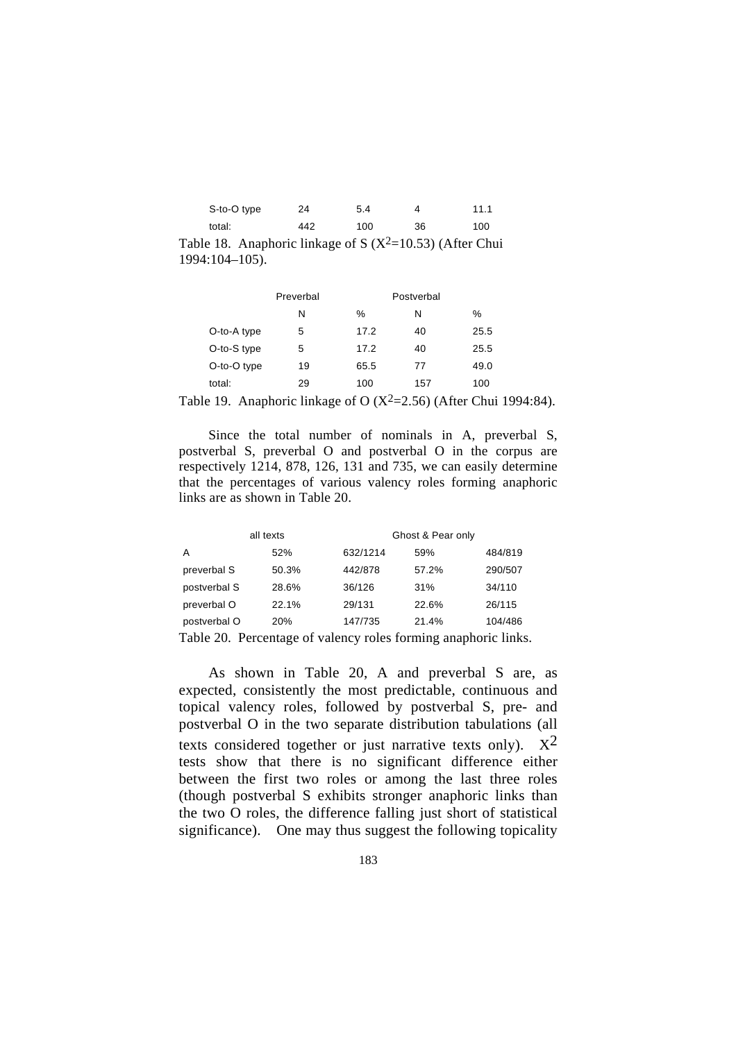| S-to-O type | 24  | 5.4           |    | 11.1 |
|-------------|-----|---------------|----|------|
| total:      | 442 | 100           | 36 | 100  |
|             |     | $\sim$ $\sim$ |    |      |

Table 18. Anaphoric linkage of S  $(X^2=10.53)$  (After Chui 1994:104–105).

|             | Preverbal | Postverbal |     |      |
|-------------|-----------|------------|-----|------|
|             | N         | $\%$       | N   | $\%$ |
| O-to-A type | 5         | 17.2       | 40  | 25.5 |
| O-to-S type | 5         | 17.2       | 40  | 25.5 |
| O-to-O type | 19        | 65.5       | 77  | 49.0 |
| total:      | 29        | 100        | 157 | 100  |

Table 19. Anaphoric linkage of O ( $X^2$ =2.56) (After Chui 1994:84).

Since the total number of nominals in A, preverbal S, postverbal S, preverbal O and postverbal O in the corpus are respectively 1214, 878, 126, 131 and 735, we can easily determine that the percentages of various valency roles forming anaphoric links are as shown in Table 20.

|              | all texts |          | Ghost & Pear only |         |
|--------------|-----------|----------|-------------------|---------|
| A            | 52%       | 632/1214 | 59%               | 484/819 |
| preverbal S  | 50.3%     | 442/878  | 57.2%             | 290/507 |
| postverbal S | 28.6%     | 36/126   | 31%               | 34/110  |
| preverbal O  | 22.1%     | 29/131   | 22.6%             | 26/115  |
| postverbal O | 20%       | 147/735  | 21.4%             | 104/486 |

Table 20. Percentage of valency roles forming anaphoric links.

As shown in Table 20, A and preverbal S are, as expected, consistently the most predictable, continuous and topical valency roles, followed by postverbal S, pre- and postverbal O in the two separate distribution tabulations (all texts considered together or just narrative texts only).  $X^2$ tests show that there is no significant difference either between the first two roles or among the last three roles (though postverbal S exhibits stronger anaphoric links than the two O roles, the difference falling just short of statistical significance). One may thus suggest the following topicality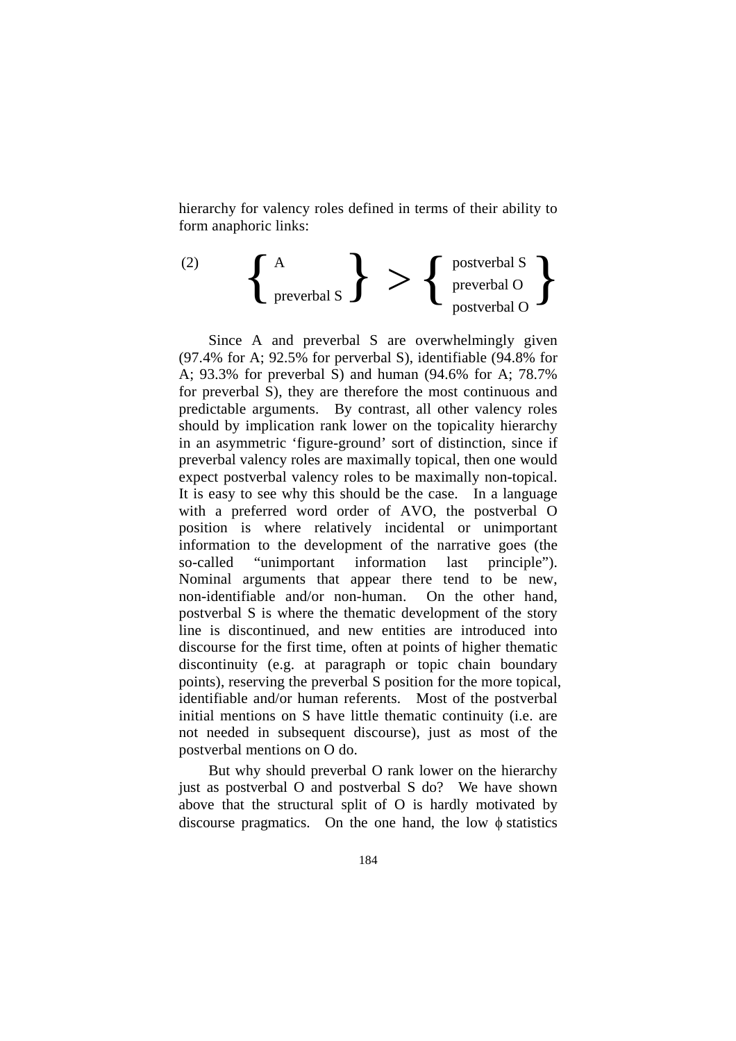hierarchy for valency roles defined in terms of their ability to form anaphoric links:

$$
\begin{Bmatrix}\nA \\
\text{preverbal S} \\
\text{preverbal S}\n\end{Bmatrix}\n\begin{Bmatrix}\n\text{postverbal S} \\
\text{preverbal O} \\
\text{postverbal O}\n\end{Bmatrix}
$$

Since A and preverbal S are overwhelmingly given (97.4% for A; 92.5% for perverbal S), identifiable (94.8% for A; 93.3% for preverbal S) and human (94.6% for A; 78.7% for preverbal S), they are therefore the most continuous and predictable arguments. By contrast, all other valency roles should by implication rank lower on the topicality hierarchy in an asymmetric 'figure-ground' sort of distinction, since if preverbal valency roles are maximally topical, then one would expect postverbal valency roles to be maximally non-topical. It is easy to see why this should be the case. In a language with a preferred word order of AVO, the postverbal O position is where relatively incidental or unimportant information to the development of the narrative goes (the so-called "unimportant information last principle"). Nominal arguments that appear there tend to be new, non-identifiable and/or non-human. On the other hand, postverbal S is where the thematic development of the story line is discontinued, and new entities are introduced into discourse for the first time, often at points of higher thematic discontinuity (e.g. at paragraph or topic chain boundary points), reserving the preverbal S position for the more topical, identifiable and/or human referents. Most of the postverbal initial mentions on S have little thematic continuity (i.e. are not needed in subsequent discourse), just as most of the postverbal mentions on O do.

But why should preverbal O rank lower on the hierarchy just as postverbal O and postverbal S do? We have shown above that the structural split of O is hardly motivated by discourse pragmatics. On the one hand, the low φ statistics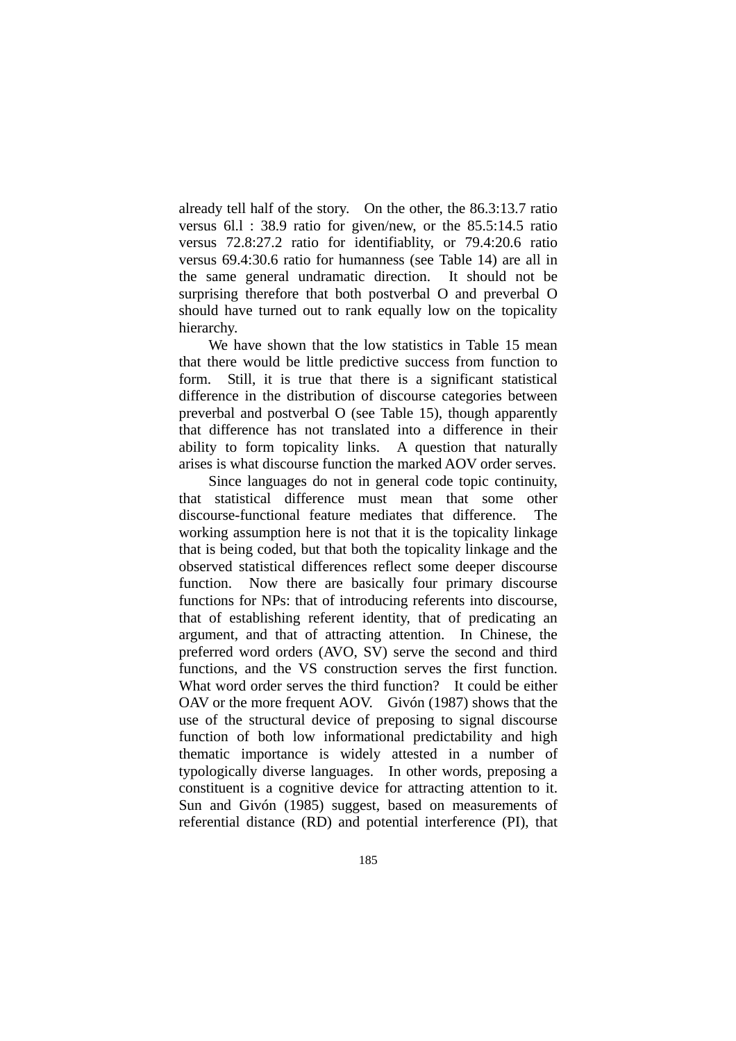already tell half of the story. On the other, the 86.3:13.7 ratio versus 6l.l : 38.9 ratio for given/new, or the 85.5:14.5 ratio versus 72.8:27.2 ratio for identifiablity, or 79.4:20.6 ratio versus 69.4:30.6 ratio for humanness (see Table 14) are all in the same general undramatic direction. It should not be surprising therefore that both postverbal O and preverbal O should have turned out to rank equally low on the topicality hierarchy.

We have shown that the low statistics in Table 15 mean that there would be little predictive success from function to form. Still, it is true that there is a significant statistical difference in the distribution of discourse categories between preverbal and postverbal O (see Table 15), though apparently that difference has not translated into a difference in their ability to form topicality links. A question that naturally arises is what discourse function the marked AOV order serves.

Since languages do not in general code topic continuity, that statistical difference must mean that some other discourse-functional feature mediates that difference. The working assumption here is not that it is the topicality linkage that is being coded, but that both the topicality linkage and the observed statistical differences reflect some deeper discourse function. Now there are basically four primary discourse functions for NPs: that of introducing referents into discourse, that of establishing referent identity, that of predicating an argument, and that of attracting attention. In Chinese, the preferred word orders (AVO, SV) serve the second and third functions, and the VS construction serves the first function. What word order serves the third function? It could be either OAV or the more frequent AOV. Givón (1987) shows that the use of the structural device of preposing to signal discourse function of both low informational predictability and high thematic importance is widely attested in a number of typologically diverse languages. In other words, preposing a constituent is a cognitive device for attracting attention to it. Sun and Givón (1985) suggest, based on measurements of referential distance (RD) and potential interference (PI), that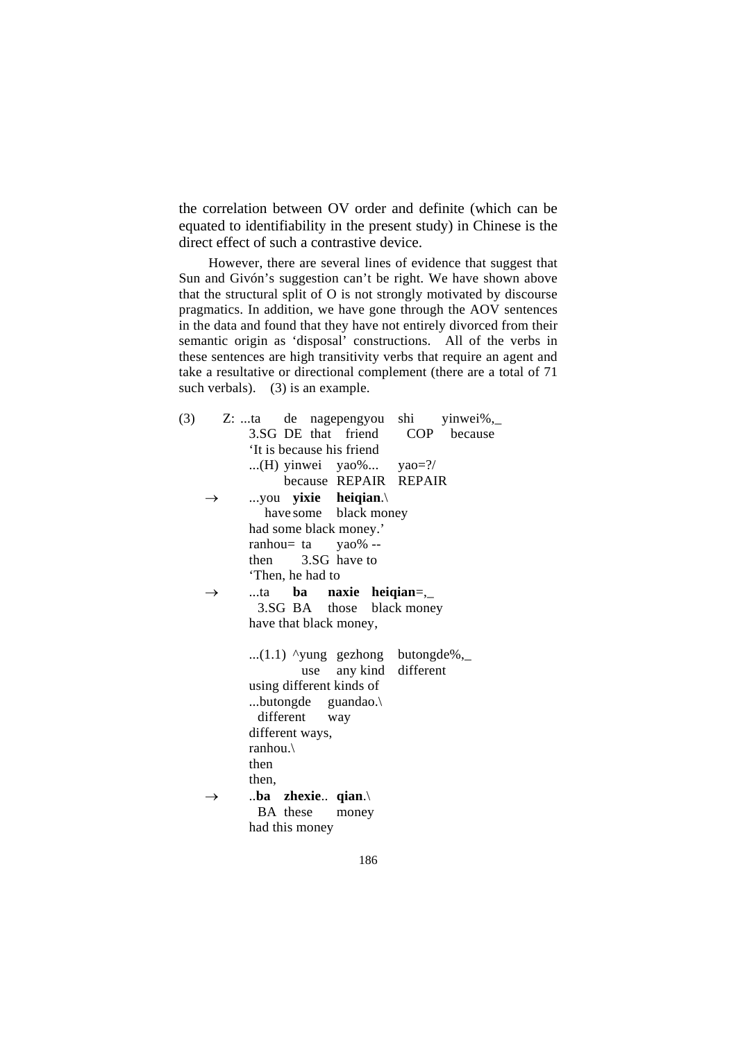the correlation between OV order and definite (which can be equated to identifiability in the present study) in Chinese is the direct effect of such a contrastive device.

However, there are several lines of evidence that suggest that Sun and Givón's suggestion can't be right. We have shown above that the structural split of O is not strongly motivated by discourse pragmatics. In addition, we have gone through the AOV sentences in the data and found that they have not entirely divorced from their semantic origin as 'disposal' constructions. All of the verbs in these sentences are high transitivity verbs that require an agent and take a resultative or directional complement (there are a total of 71 such verbals). (3) is an example.

| (3) |               | Z: ta de nagepengyou shi yinwei%, |
|-----|---------------|-----------------------------------|
|     |               | 3.SG DE that friend COP because   |
|     |               | It is because his friend          |
|     |               | (H) yinwei yao% yao= $?/$         |
|     |               | because REPAIR REPAIR             |
|     | $\rightarrow$ | you <b>yixie heiqian</b> .        |
|     |               | have some black money             |
|     |               | had some black money.'            |
|     |               | ranhou= $\tan$ vao% --            |
|     |               | then 3.SG have to                 |
|     |               | 'Then, he had to                  |
|     | $\rightarrow$ | ta <b>ba naxie heiqian</b> =,     |
|     |               | 3.SG BA those black money         |
|     |               | have that black money,            |
|     |               |                                   |
|     |               | $(1.1)$ 'yung gezhong butongde%,  |
|     |               | use any kind different            |
|     |               | using different kinds of          |
|     |               | butongde guandao. $\setminus$     |
|     |               | different way                     |
|     |               | different ways,                   |
|     |               | ranhou. $\langle$                 |
|     |               | then                              |
|     |               | then,                             |
|     | $\rightarrow$ | ba zhexie $qian.$                 |
|     |               | BA these<br>money                 |
|     |               | had this money                    |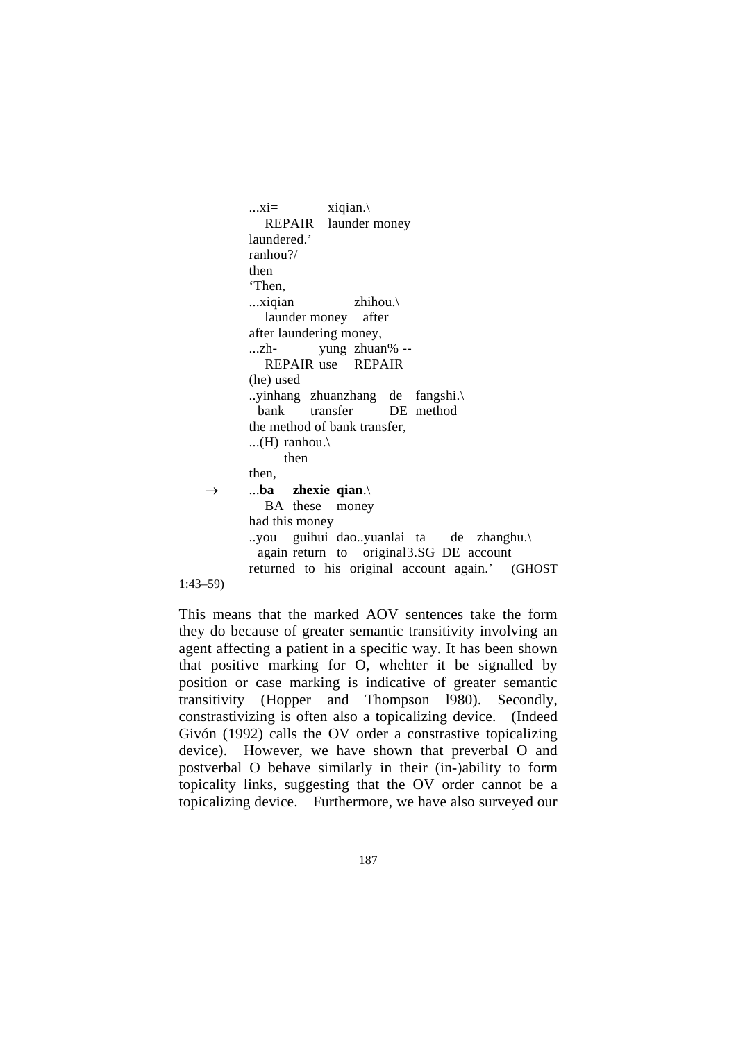$...xi=$  xiqian. REPAIR launder money laundered.' ranhou?/ then 'Then, ...xiqian zhihou.\ launder money after after laundering money, ...zh- yung zhuan% -- REPAIR use REPAIR (he) used ..yinhang zhuanzhang de fangshi.\ bank transfer DE method the method of bank transfer, ... $(H)$  ranhou. then then,  $\rightarrow$  ...ba zhexie qian.\ BA these money had this money ..you guihui dao..yuanlai ta de zhanghu.\ again return to original 3.SG DE account returned to his original account again.' (GHOST 1:43–59)

This means that the marked AOV sentences take the form they do because of greater semantic transitivity involving an agent affecting a patient in a specific way. It has been shown that positive marking for O, whehter it be signalled by position or case marking is indicative of greater semantic transitivity (Hopper and Thompson l980). Secondly, constrastivizing is often also a topicalizing device. (Indeed Givón (1992) calls the OV order a constrastive topicalizing device). However, we have shown that preverbal O and postverbal O behave similarly in their (in-)ability to form topicality links, suggesting that the OV order cannot be a topicalizing device. Furthermore, we have also surveyed our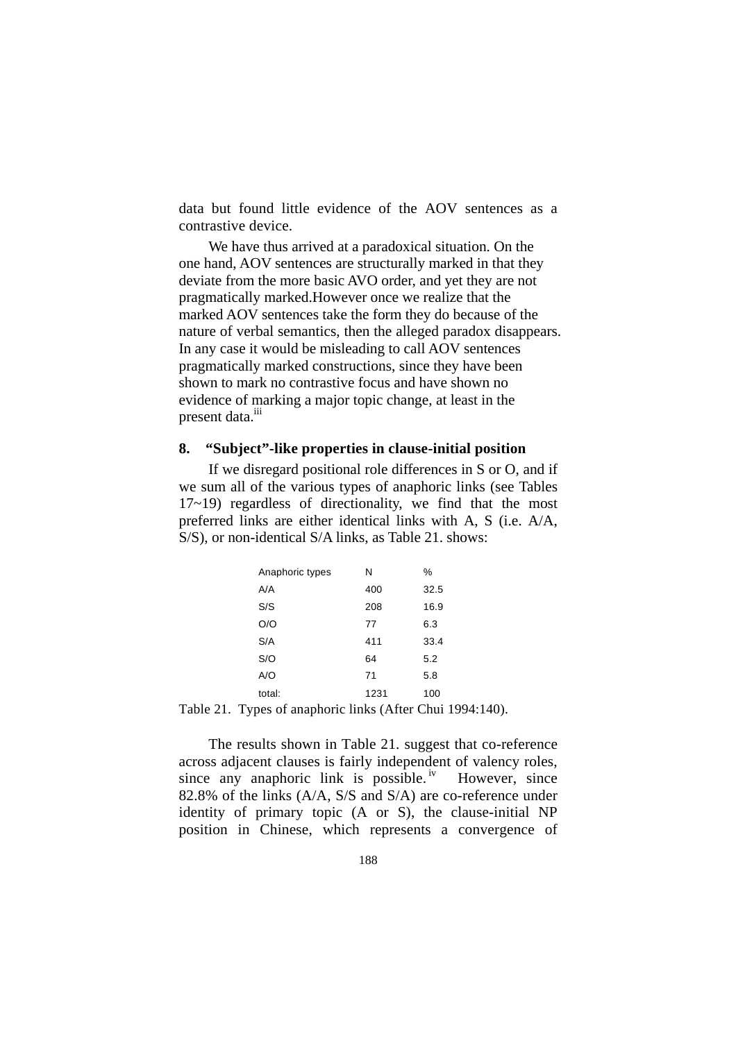data but found little evidence of the AOV sentences as a contrastive device.

We have thus arrived at a paradoxical situation. On the one hand, AOV sentences are structurally marked in that they deviate from the more basic AVO order, and yet they are not pragmatically marked.However once we realize that the marked AOV sentences take the form they do because of the nature of verbal semantics, then the alleged paradox disappears. In any case it would be misleading to call AOV sentences pragmatically marked constructions, since they have been shown to mark no contrastive focus and have shown no evidence of marking a major topic change, at least in the present data.<sup>iii</sup>

### **8. "Subject"-like properties in clause-initial position**

If we disregard positional role differences in S or O, and if we sum all of the various types of anaphoric links (see Tables 17~19) regardless of directionality, we find that the most preferred links are either identical links with A, S (i.e. A/A, S/S), or non-identical S/A links, as Table 21. shows:

| Anaphoric types | N    | %    |
|-----------------|------|------|
| A/A             | 400  | 32.5 |
| S/S             | 208  | 16.9 |
| O/O             | 77   | 6.3  |
| S/A             | 411  | 33.4 |
| S/O             | 64   | 5.2  |
| A/O             | 71   | 5.8  |
| total:          | 1231 | 100  |
|                 |      |      |

Table 21. Types of anaphoric links (After Chui 1994:140).

The results shown in Table 21. suggest that co-reference across adjacent clauses is fairly independent of valency roles, since any anaphoric link is possible.<sup>iv</sup> However, since 82.8% of the links (A/A, S/S and S/A) a[re](#page-31-3) co-reference under identity of primary topic (A or S), the clause-initial NP position in Chinese, which represents a convergence of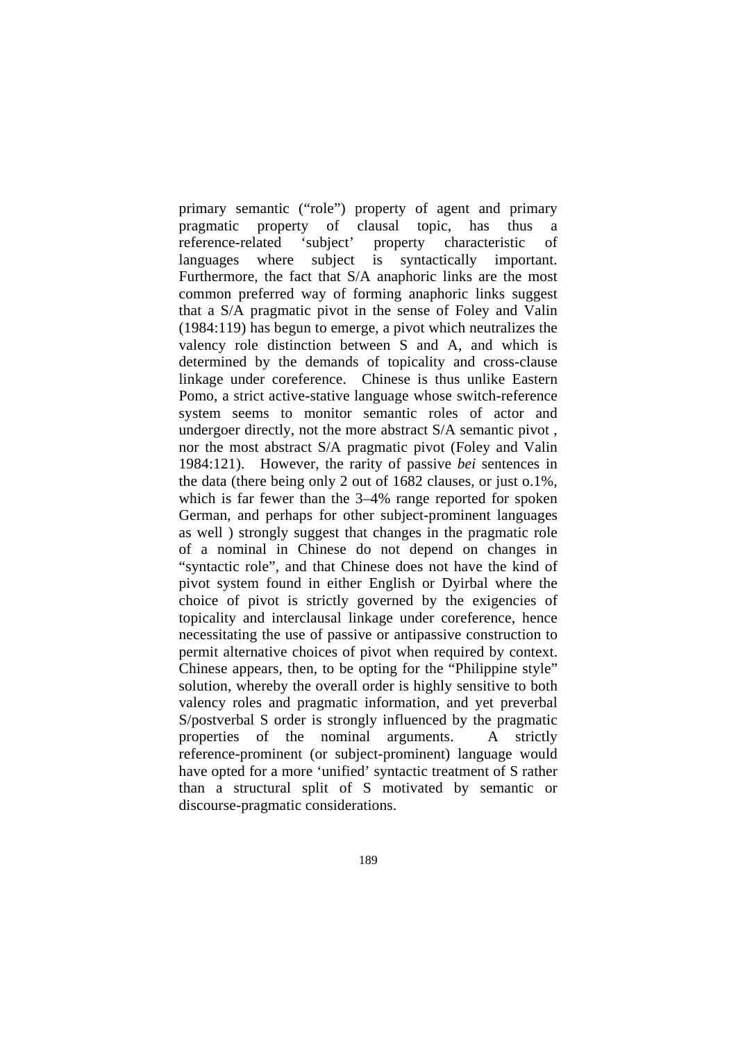primary semantic ("role") property of agent and primary pragmatic property of clausal topic, has thus a reference-related 'subject' property characteristic of languages where subject is syntactically important. Furthermore, the fact that S/A anaphoric links are the most common preferred way of forming anaphoric links suggest that a S/A pragmatic pivot in the sense of Foley and Valin (1984:119) has begun to emerge, a pivot which neutralizes the valency role distinction between S and A, and which is determined by the demands of topicality and cross-clause linkage under coreference. Chinese is thus unlike Eastern Pomo, a strict active-stative language whose switch-reference system seems to monitor semantic roles of actor and undergoer directly, not the more abstract S/A semantic pivot , nor the most abstract S/A pragmatic pivot (Foley and Valin 1984:121). However, the rarity of passive *bei* sentences in the data (there being only 2 out of 1682 clauses, or just o.1%, which is far fewer than the 3–4% range reported for spoken German, and perhaps for other subject-prominent languages as well ) strongly suggest that changes in the pragmatic role of a nominal in Chinese do not depend on changes in "syntactic role", and that Chinese does not have the kind of pivot system found in either English or Dyirbal where the choice of pivot is strictly governed by the exigencies of topicality and interclausal linkage under coreference, hence necessitating the use of passive or antipassive construction to permit alternative choices of pivot when required by context. Chinese appears, then, to be opting for the "Philippine style" solution, whereby the overall order is highly sensitive to both valency roles and pragmatic information, and yet preverbal S/postverbal S order is strongly influenced by the pragmatic properties of the nominal arguments. A strictly reference-prominent (or subject-prominent) language would have opted for a more 'unified' syntactic treatment of S rather than a structural split of S motivated by semantic or discourse-pragmatic considerations.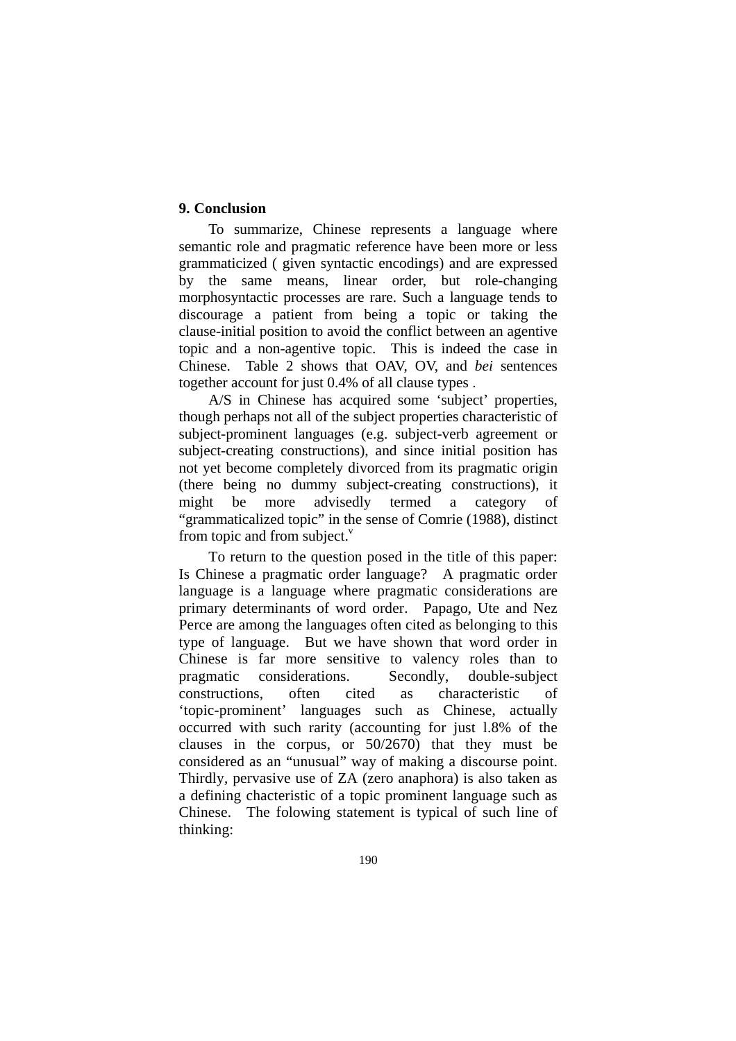## **9. Conclusion**

To summarize, Chinese represents a language where semantic role and pragmatic reference have been more or less grammaticized ( given syntactic encodings) and are expressed by the same means, linear order, but role-changing morphosyntactic processes are rare. Such a language tends to discourage a patient from being a topic or taking the clause-initial position to avoid the conflict between an agentive topic and a non-agentive topic. This is indeed the case in Chinese. Table 2 shows that OAV, OV, and *bei* sentences together account for just 0.4% of all clause types .

A/S in Chinese has acquired some 'subject' properties, though perhaps not all of the subject properties characteristic of subject-prominent languages (e.g. subject-verb agreement or subject-creating constructions), and since initial position has not yet become completely divorced from its pragmatic origin (there being no dummy subject-creating constructions), it might be more advisedly termed a category of "grammaticalized topic" in the sense of Comrie (1988), distinct from topic and from subject. $v$ 

To return to the question posed in the title of this paper: Is Chinese a pragmatic order language? A pragmatic order language is a language where pragmatic considerations are primary determinants of word order. Papago, Ute and Nez Perce are among the languages often cited as belonging to this type of language. But we have shown that word order in Chinese is far more sensitive to valency roles than to pragmatic considerations. Secondly, double-subject constructions, often cited as characteristic of 'topic-prominent' languages such as Chinese, actually occurred with such rarity (accounting for just l.8% of the clauses in the corpus, or 50/2670) that they must be considered as an "unusual" way of making a discourse point. Thirdly, pervasive use of ZA (zero anaphora) is also taken as a defining chacteristic of a topic prominent language such as Chinese. The folowing statement is typical of such line of thinking: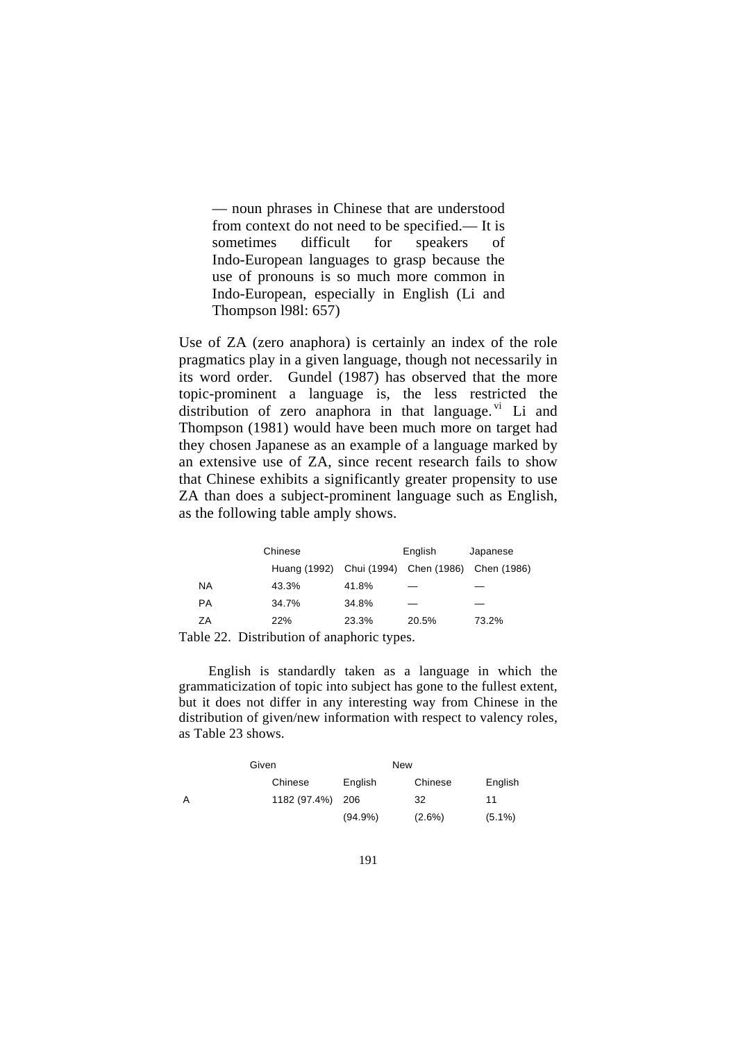— noun phrases in Chinese that are understood from context do not need to be specified.— It is sometimes difficult for speakers of Indo-European languages to grasp because the use of pronouns is so much more common in Indo-European, especially in English (Li and Thompson l98l: 657)

Use of ZA (zero anaphora) is certainly an index of the role pragmatics play in a given language, though not necessarily in its word order. Gundel (1987) has observed that the more topic-prominent a language is, the less restricted the distribution of zero anaphora in that language.  $\overline{v}$  Li and Thompson (1981) would have been much more on [ta](#page-31-5)rget had they chosen Japanese as an example of a language marked by an extensive use of ZA, since recent research fails to show that Chinese exhibits a significantly greater propensity to use ZA than does a subject-prominent language such as English, as the following table amply shows.

|           | Chinese                                          |       | English | Japanese |  |
|-----------|--------------------------------------------------|-------|---------|----------|--|
|           | Huang (1992) Chui (1994) Chen (1986) Chen (1986) |       |         |          |  |
| NA        | 43.3%                                            | 41.8% |         | _        |  |
| <b>PA</b> | 34.7%                                            | 34.8% |         |          |  |
| ΖA        | <b>22%</b>                                       | 23.3% | 20.5%   | 73.2%    |  |

Table 22. Distribution of anaphoric types.

English is standardly taken as a language in which the grammaticization of topic into subject has gone to the fullest extent, but it does not differ in any interesting way from Chinese in the distribution of given/new information with respect to valency roles, as Table 23 shows.

|   | Given            |            | New       |           |
|---|------------------|------------|-----------|-----------|
|   | Chinese          | English    | Chinese   | English   |
| А | 1182 (97.4%) 206 |            | 32        | 11        |
|   |                  | $(94.9\%)$ | $(2.6\%)$ | $(5.1\%)$ |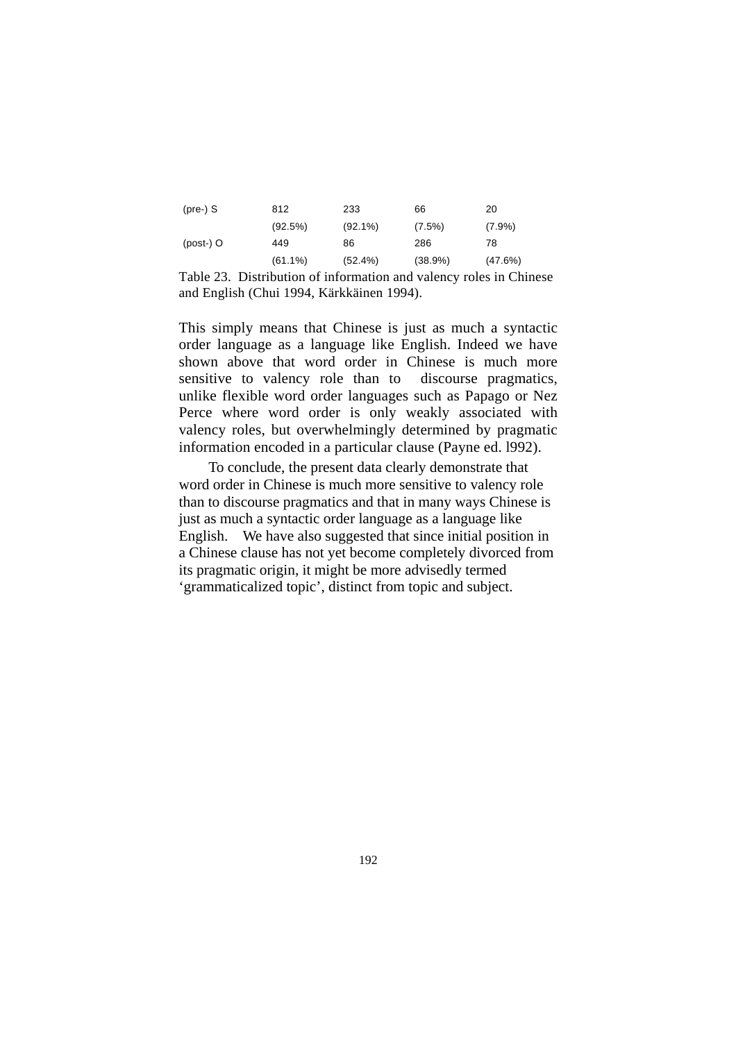| $(\text{pre-})$ S | 812        | 233        | 66      | 20        |
|-------------------|------------|------------|---------|-----------|
|                   | (92.5%)    | $(92.1\%)$ | (7.5%)  | $(7.9\%)$ |
| $(post-)$ O       | 449        | 86         | 286     | 78        |
|                   | $(61.1\%)$ | (52.4%)    | (38.9%) | (47.6%)   |

Table 23. Distribution of information and valency roles in Chinese and English (Chui 1994, Kärkkäinen 1994).

This simply means that Chinese is just as much a syntactic order language as a language like English. Indeed we have shown above that word order in Chinese is much more sensitive to valency role than to discourse pragmatics, unlike flexible word order languages such as Papago or Nez Perce where word order is only weakly associated with valency roles, but overwhelmingly determined by pragmatic information encoded in a particular clause (Payne ed. l992).

To conclude, the present data clearly demonstrate that word order in Chinese is much more sensitive to valency role than to discourse pragmatics and that in many ways Chinese is just as much a syntactic order language as a language like English. We have also suggested that since initial position in a Chinese clause has not yet become completely divorced from its pragmatic origin, it might be more advisedly termed 'grammaticalized topic', distinct from topic and subject.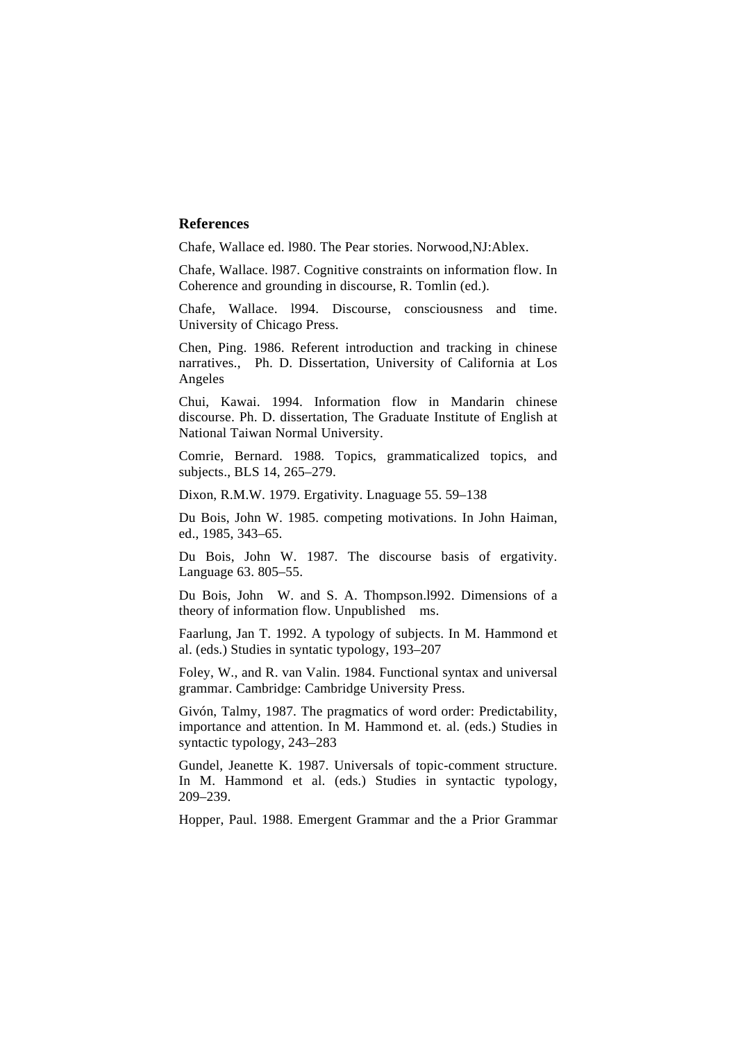## **References**

Chafe, Wallace ed. l980. The Pear stories. Norwood,NJ:Ablex.

Chafe, Wallace. l987. Cognitive constraints on information flow. In Coherence and grounding in discourse, R. Tomlin (ed.).

Chafe, Wallace. l994. Discourse, consciousness and time. University of Chicago Press.

Chen, Ping. 1986. Referent introduction and tracking in chinese narratives., Ph. D. Dissertation, University of California at Los Angeles

Chui, Kawai. 1994. Information flow in Mandarin chinese discourse. Ph. D. dissertation, The Graduate Institute of English at National Taiwan Normal University.

Comrie, Bernard. 1988. Topics, grammaticalized topics, and subjects., BLS 14, 265–279.

Dixon, R.M.W. 1979. Ergativity. Lnaguage 55. 59–138

Du Bois, John W. 1985. competing motivations. In John Haiman, ed., 1985, 343–65.

Du Bois, John W. 1987. The discourse basis of ergativity. Language 63. 805–55.

Du Bois, John W. and S. A. Thompson.l992. Dimensions of a theory of information flow. Unpublished ms.

Faarlung, Jan T. 1992. A typology of subjects. In M. Hammond et al. (eds.) Studies in syntatic typology, 193–207

Foley, W., and R. van Valin. 1984. Functional syntax and universal grammar. Cambridge: Cambridge University Press.

Givón, Talmy, 1987. The pragmatics of word order: Predictability, importance and attention. In M. Hammond et. al. (eds.) Studies in syntactic typology, 243–283

Gundel, Jeanette K. 1987. Universals of topic-comment structure. In M. Hammond et al. (eds.) Studies in syntactic typology, 209–239.

Hopper, Paul. 1988. Emergent Grammar and the a Prior Grammar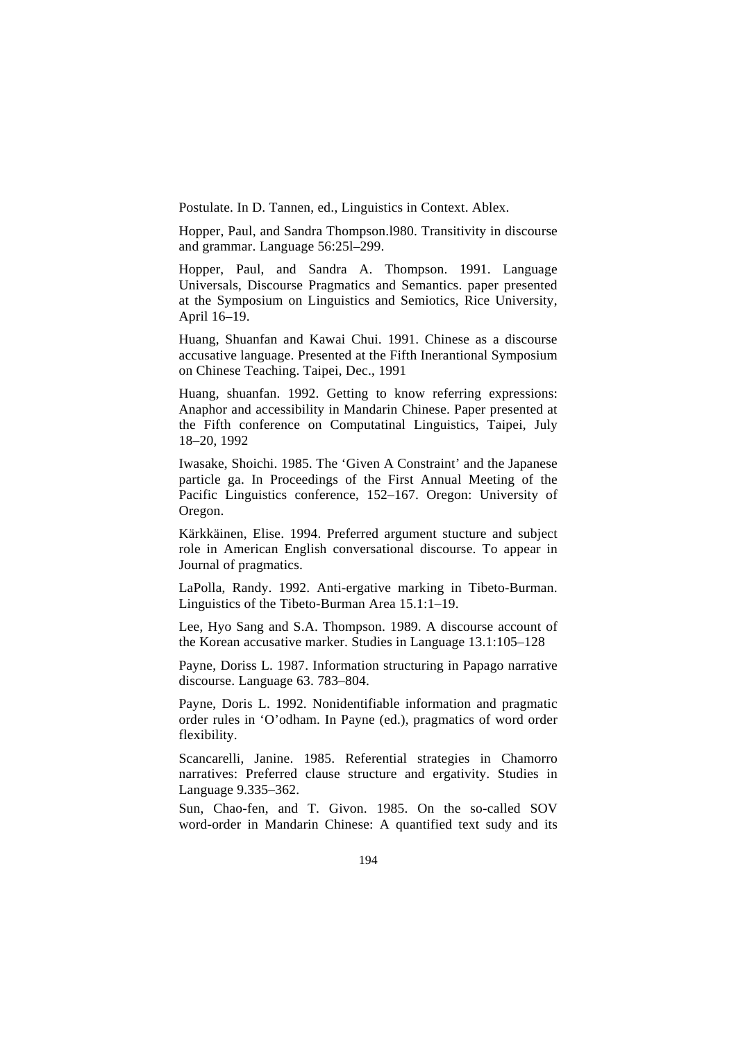Postulate. In D. Tannen, ed., Linguistics in Context. Ablex.

Hopper, Paul, and Sandra Thompson.l980. Transitivity in discourse and grammar. Language 56:25l–299.

Hopper, Paul, and Sandra A. Thompson. 1991. Language Universals, Discourse Pragmatics and Semantics. paper presented at the Symposium on Linguistics and Semiotics, Rice University, April 16–19.

Huang, Shuanfan and Kawai Chui. 1991. Chinese as a discourse accusative language. Presented at the Fifth Inerantional Symposium on Chinese Teaching. Taipei, Dec., 1991

Huang, shuanfan. 1992. Getting to know referring expressions: Anaphor and accessibility in Mandarin Chinese. Paper presented at the Fifth conference on Computatinal Linguistics, Taipei, July 18–20, 1992

Iwasake, Shoichi. 1985. The 'Given A Constraint' and the Japanese particle ga. In Proceedings of the First Annual Meeting of the Pacific Linguistics conference, 152–167. Oregon: University of Oregon.

Kärkkäinen, Elise. 1994. Preferred argument stucture and subject role in American English conversational discourse. To appear in Journal of pragmatics.

LaPolla, Randy. 1992. Anti-ergative marking in Tibeto-Burman. Linguistics of the Tibeto-Burman Area 15.1:1–19.

Lee, Hyo Sang and S.A. Thompson. 1989. A discourse account of the Korean accusative marker. Studies in Language 13.1:105–128

Payne, Doriss L. 1987. Information structuring in Papago narrative discourse. Language 63. 783–804.

Payne, Doris L. 1992. Nonidentifiable information and pragmatic order rules in 'O'odham. In Payne (ed.), pragmatics of word order flexibility.

Scancarelli, Janine. 1985. Referential strategies in Chamorro narratives: Preferred clause structure and ergativity. Studies in Language 9.335–362.

Sun, Chao-fen, and T. Givon. 1985. On the so-called SOV word-order in Mandarin Chinese: A quantified text sudy and its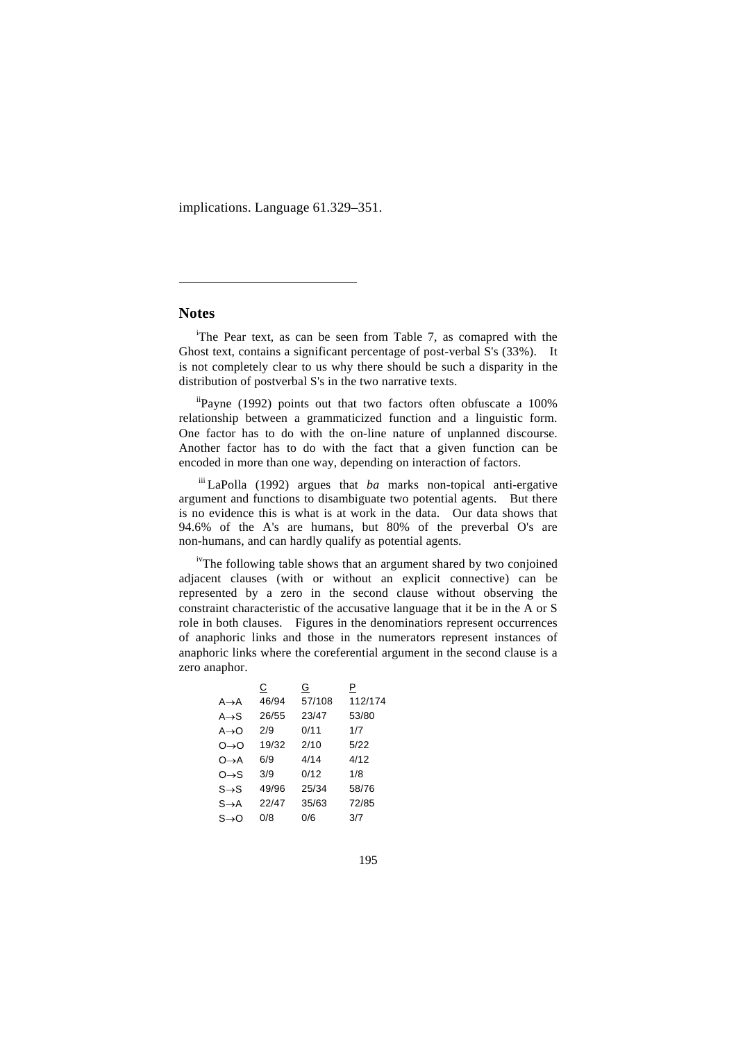implications. Language 61.329–351.

#### **Notes**

 $\overline{a}$ 

<sup>i</sup>The Pear text, as can be seen from Table 7, as comapred with the Ghost text, contains a significant percentage of post-verbal S's (33%). It is not completely clear to us why there should be such a disparity in the distribution of postverbal S's in the two narrative texts.

iiPayne (1992) points out that two factors often obfuscate a 100% relationship between a grammaticized function and a linguistic form. One factor has to do with the on-line nature of unplanned discourse. Another factor has to do with the fact that a given function can be encoded in more than one way, depending on interaction of factors.

iii LaPolla (1992) argues that *ba* marks non-topical anti-ergative argument and functions to disambiguate two potential agents. But there is no evidence this is what is at work in the data. Our data shows that 94.6% of the A's are humans, but 80% of the preverbal O's are non-humans, and can hardly qualify as potential agents.

<sup>iv</sup>The following table shows that an argument shared by two conjoined adjacent clauses (with or without an explicit connective) can be represented by a zero in the second clause without observing the constraint characteristic of the accusative language that it be in the A or S role in both clauses. Figures in the denominatiors represent occurrences of anaphoric links and those in the numerators represent instances of anaphoric links where the coreferential argument in the second clause is a zero anaphor.

|                   | С     | G      | Р       |
|-------------------|-------|--------|---------|
| $A \rightarrow A$ | 46/94 | 57/108 | 112/174 |
| $A \rightarrow S$ | 26/55 | 23/47  | 53/80   |
| $A \rightarrow O$ | 2/9   | 0/11   | 1/7     |
| റ→റ               | 19/32 | 2/10   | 5/22    |
| $O \rightarrow A$ | 6/9   | 4/14   | 4/12    |
| $O \rightarrow S$ | 3/9   | 0/12   | 1/8     |
| $S \rightarrow S$ | 49/96 | 25/34  | 58/76   |
| $S \rightarrow A$ | 22/47 | 35/63  | 72/85   |
| $S \rightarrow O$ | 0/8   | 0/6    | 3/7     |
|                   |       |        |         |